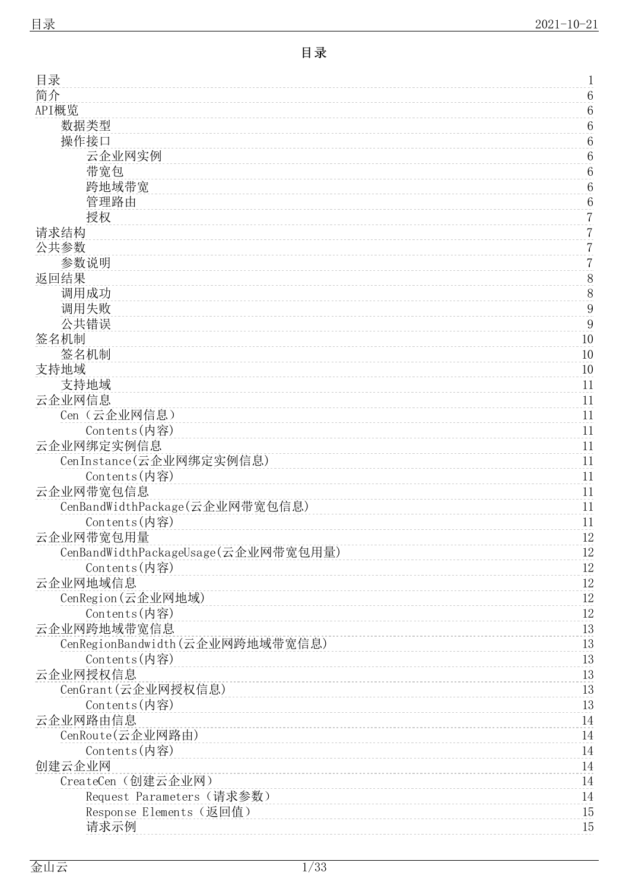<span id="page-0-0"></span>

| 目录                                  | 1                       |
|-------------------------------------|-------------------------|
| 简介                                  | $\,6\,$                 |
| API概览                               | $\boldsymbol{6}$        |
| 数据类型                                | $\,6\,$                 |
| 操作接口                                | $\,6\,$                 |
| 云企业网实例                              | 6                       |
| 带宽包                                 | $\,6$                   |
| 跨地域带宽                               | $\boldsymbol{6}$        |
| 管理路由                                | $\,6$                   |
| 授权                                  | $\overline{7}$          |
| 请求结构                                | $\overline{7}$          |
| 公共参数                                | $\overline{7}$          |
| 参数说明                                | $\overline{7}$          |
| 返回结果                                | $8\,$<br>$\overline{8}$ |
| 调用成功                                |                         |
| 调用失败<br>公共错误                        | 9<br>9                  |
| 签名机制                                | 10                      |
| 签名机制                                | 10                      |
| 支持地域                                | 10                      |
| 支持地域                                | 11                      |
| 云企业网信息                              | 11                      |
| Cen (云企业网信息)                        | 11                      |
| Contents(内容)                        | 11                      |
| 云企业网绑定实例信息                          | 11                      |
| CenInstance(云企业网绑定实例信息)             | 11                      |
| Contents(内容)                        | 11                      |
| 云企业网带宽包信息                           | 11                      |
| CenBandWidthPackage(云企业网带宽包信息)      | 11                      |
| Contents(内容)                        | 11                      |
| 云企业网带宽包用量                           | 12                      |
| CenBandWidthPackageUsage(云企业网带宽包用量) | 12                      |
| Contents(内容)                        | $12\,$                  |
| 云企业网地域信息                            | $12\,$                  |
| CenRegion (云企业网地域)                  | $12\,$                  |
| Contents(内容)                        | 12                      |
| 云企业网跨地域带宽信息                         | 13                      |
| CenRegionBandwidth(云企业网跨地域带宽信息)     | 13                      |
| Contents(内容)                        | 13                      |
| 云企业网授权信息<br>CenGrant(云企业网授权信息)      | 13                      |
| Contents(内容)                        | 13<br>13                |
| 云企业网路由信息                            | 14                      |
| CenRoute(云企业网路由)                    | 14                      |
| Contents(内容)                        | 14                      |
| 创建云企业网                              | 14                      |
| CreateCen (创建云企业网)                  | 14                      |
| Request Parameters (请求参数)           | 14                      |
| Response Elements (返回值)             | 15                      |
| 请求示例                                | 15                      |
|                                     |                         |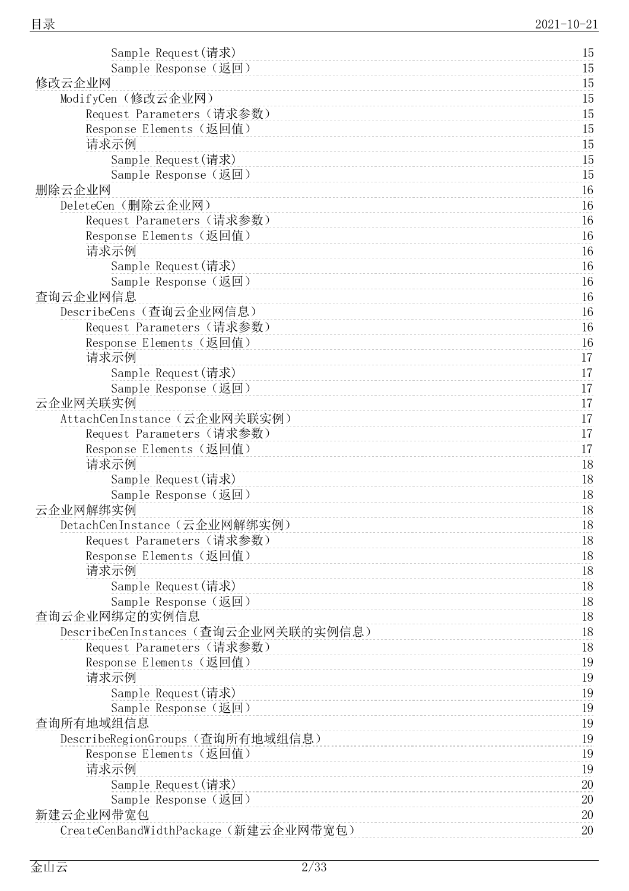1 5

| Sample Response(返回)                   | 15       |
|---------------------------------------|----------|
| 修改云企业网                                | 15       |
| ModifyCen (修改云企业网)                    | 15       |
| Request Parameters (请求参数)             | 15       |
| Response Elements (返回值)               | 15       |
| 请求示例                                  | 15       |
| Sample Request(请求)                    | 15       |
| Sample Response (返回)                  | 15       |
| 删除云企业网                                | 16       |
| DeleteCen (删除云企业网)                    | 16       |
| Request Parameters (请求参数)             | 16       |
| Response Elements (返回值)               | 16       |
| 请求示例                                  | 16       |
| Sample Request(请求)                    | 16       |
| Sample Response(返回)                   | 16       |
| 查询云企业网信息                              | 16       |
| DescribeCens (查询云企业网信息)               | 16       |
| Request Parameters (请求参数)             | 16       |
| Response Elements (返回值)               | 16       |
| 请求示例                                  | 17       |
| Sample Request(请求)                    | 17       |
| Sample Response (返回)                  | 17       |
| 云企业网关联实例                              | 17       |
| AttachCenInstance (云企业网关联实例)          | 17       |
| Request Parameters (请求参数)             | 17       |
| Response Elements (返回值)               | 17       |
| 请求示例                                  | 18       |
| Sample Request(请求)                    | 18       |
| Sample Response(返回)                   | 18       |
| 云企业网解绑实例                              | 18       |
| DetachCenInstance (云企业网解绑实例)          | 18       |
| Request Parameters(请求参数)              | 18       |
| Response Elements (返回值)               | 18       |
| 请求示例                                  | 18       |
| Sample Request(请求)                    | 18       |
| Sample Response (返回)<br>查询云企业网绑定的实例信息 | 18<br>18 |
| DescribeCenInstances (查询云企业网关联的实例信息)  | 18       |
| Request Parameters (请求参数)             | 18       |
| Response Elements (返回值)               | 19       |
| 请求示例                                  | 19       |
| Sample Request(请求)                    | 19       |
| Sample Response (返回)                  | 19       |
| 查询所有地域组信息                             | 19       |
| DescribeRegionGroups (查询所有地域组信息)      | 19       |
| Response Elements (返回值)               | 19       |
| 请求示例                                  | 19       |
| Sample Request(请求)                    | 20       |
| Sample Response(返回)                   | 20       |
| 新建云企业网带宽包                             | 20       |
| CreateCenBandWidthPackage(新建云企业网带宽包)  | 20       |
|                                       |          |

Sample Request([请](#page-14-2)求)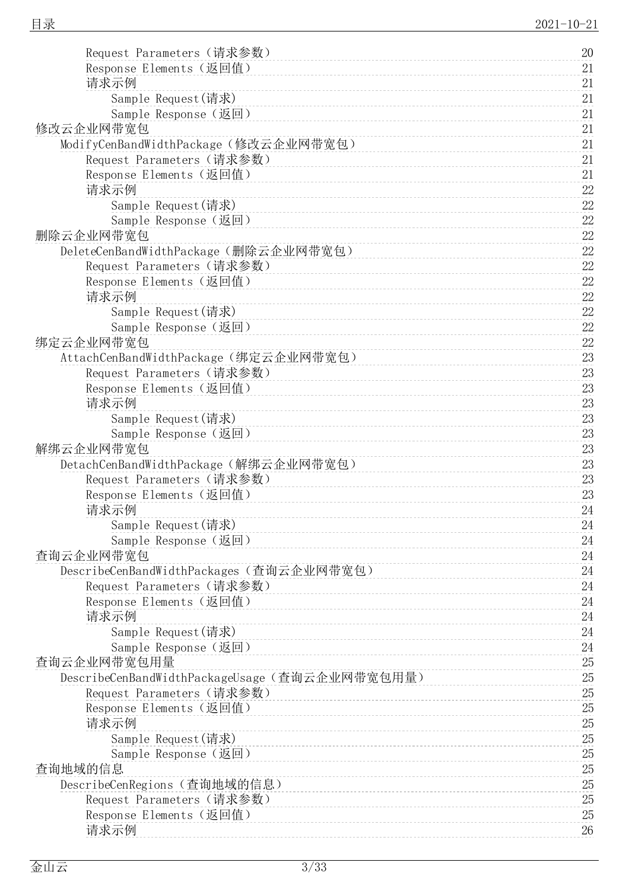| Request Parameters (请求参数)                      | 20     |
|------------------------------------------------|--------|
| Response Elements (返回值)                        | 21     |
| 请求示例                                           | 21     |
| Sample Request (请求)                            | 21     |
| Sample Response (返回)                           | 21     |
| 修改云企业网带宽包                                      | 21     |
| ModifyCenBandWidthPackage(修改云企业网带宽包)           | 21     |
| Request Parameters (请求参数)                      | 21     |
| Response Elements (返回值)                        | 21     |
| 请求示例                                           | 22     |
|                                                | $22\,$ |
| Sample Request(请求)                             |        |
| Sample Response (返回)                           | 22     |
| 删除云企业网带宽包                                      | 22     |
| DeleteCenBandWidthPackage(删除云企业网带宽包)           | $22\,$ |
| Request Parameters (请求参数)                      | $22\,$ |
| Response Elements (返回值)                        | 22     |
| 请求示例                                           | 22     |
| Sample Request(请求)                             | 22     |
| Sample Response (返回)                           | $22\,$ |
| 绑定云企业网带宽包                                      | 22     |
| AttachCenBandWidthPackage(绑定云企业网带宽包)           | 23     |
| Request Parameters (请求参数)                      | 23     |
| Response Elements (返回值)                        | 23     |
| 请求示例                                           | 23     |
| Sample Request(请求)                             | 23     |
|                                                | 23     |
| Sample Response (返回)                           |        |
| 解绑云企业网带宽包                                      | 23     |
| DetachCenBandWidthPackage (解绑云企业网带宽包)          | 23     |
| Request Parameters (请求参数)                      | 23     |
| Response Elements (返回值)                        | 23     |
| 请求示例                                           | 24     |
| Sample Request(请求)                             | 24     |
| Sample Response (返回)                           | 24     |
| 查询云企业网带宽包                                      | 24     |
| DescribeCenBandWidthPackages (查询云企业网带宽包)       | 24     |
| Request Parameters (请求参数)                      | 24     |
| Response Elements (返回值)                        | 24     |
| 请求示例                                           | 24     |
| Sample Request (请求)                            | 24     |
| Sample Response (返回)                           | 24     |
| 查询云企业网带宽包用量                                    | $25\,$ |
| DescribeCenBandWidthPackageUsage (查询云企业网带宽包用量) | 25     |
| Request Parameters (请求参数)                      | $25\,$ |
|                                                |        |
| Response Elements (返回值)                        | 25     |
| 请求示例                                           | 25     |
| Sample Request(请求)                             | $25\,$ |
| Sample Response (返回)                           | 25     |
| 查询地域的信息                                        | 25     |
| DescribeCenRegions (查询地域的信息)                   | 25     |
| Request Parameters (请求参数)                      | 25     |
| Response Elements (返回值)                        | 25     |
| 请求示例                                           | 26     |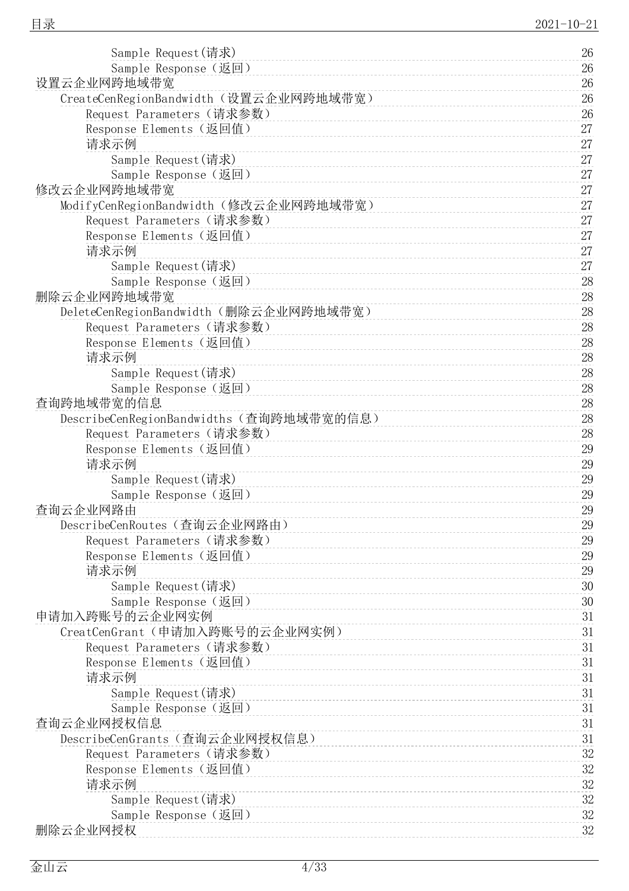| Sample Request(请求)                       | 26     |
|------------------------------------------|--------|
| Sample Response (返回)                     | 26     |
| 设置云企业网跨地域带宽                              | 26     |
| CreateCenRegionBandwidth (设置云企业网跨地域带宽)   | 26     |
| Request Parameters (请求参数)                | 26     |
| Response Elements (返回值)                  | 27     |
| 请求示例                                     | 27     |
| Sample Request (请求)                      | 27     |
| Sample Response (返回)                     | 27     |
| 修改云企业网跨地域带宽                              | 27     |
| ModifyCenRegionBandwidth(修改云企业网跨地域带宽)    | 27     |
| Request Parameters (请求参数)                | 27     |
| Response Elements (返回值)                  | 27     |
| 请求示例                                     | 27     |
| Sample Request (请求)                      | 27     |
| Sample Response (返回)                     | 28     |
| 删除云企业网跨地域带宽                              | 28     |
| DeleteCenRegionBandwidth (删除云企业网跨地域带宽)   | $28\,$ |
| Request Parameters (请求参数)                | 28     |
| Response Elements (返回值)                  | 28     |
| 请求示例                                     | 28     |
| Sample Request (请求)                      | 28     |
| Sample Response (返回)                     | 28     |
| 查询跨地域带宽的信息                               | 28     |
| DescribeCenRegionBandwidths (查询跨地域带宽的信息) | 28     |
| Request Parameters (请求参数)                | 28     |
| Response Elements (返回值)                  | 29     |
| 请求示例                                     | 29     |
| Sample Request(请求)                       | 29     |
| Sample Response (返回)                     | 29     |
| 查询云企业网路由                                 | 29     |
| DescribeCenRoutes (查询云企业网路由)             | 29     |
| Request Parameters (请求参数)                | 29     |
| Response Elements (返回值)                  | 29     |
| 请求示例                                     | 29     |
| Sample Request(请求)                       | $30\,$ |
| Sample Response (返回)                     | 30     |
| 申请加入跨账号的云企业网实例                           | 31     |
| CreatCenGrant (申请加入跨账号的云企业网实例)           | 31     |
| Request Parameters (请求参数)                | 31     |
| Response Elements (返回值)                  | 31     |
| 请求示例                                     | 31     |
| Sample Request(请求)                       | 31     |
| Sample Response (返回)                     | 31     |
| 查询云企业网授权信息                               | 31     |
| DescribeCenGrants (查询云企业网授权信息)           | 31     |
| Request Parameters (请求参数)                | 32     |
| Response Elements (返回值)                  | $32\,$ |
| 请求示例                                     | 32     |
| Sample Request(请求)                       | $32\,$ |
| Sample Response (返回)                     | $32\,$ |
| 删除云企业网授权                                 | 32     |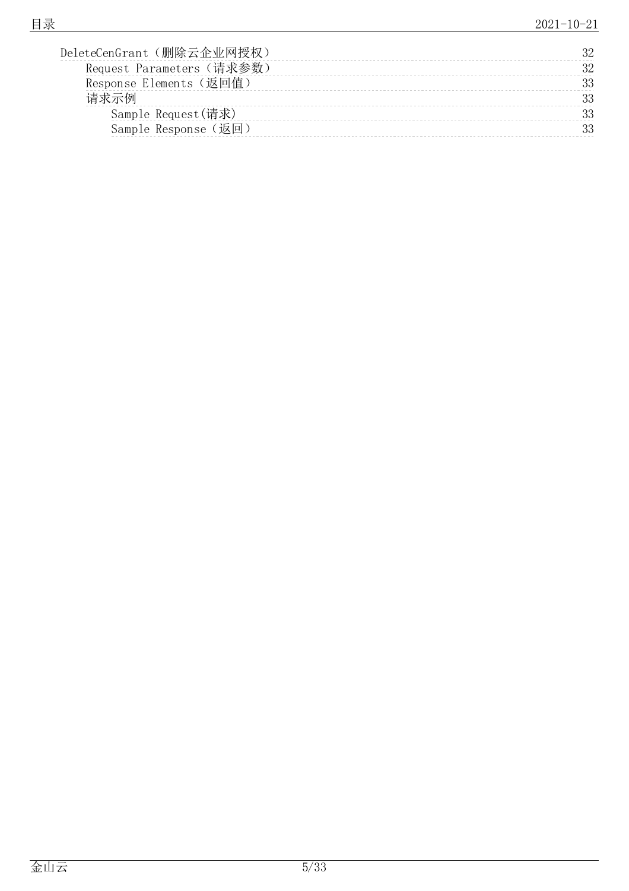| DeleteCenGrant (删除云企业网授权) |    |
|---------------------------|----|
| Request Parameters (请求参数) |    |
| Response Elements (返回值)   | າເ |
| 请求示例                      |    |
| Sample Request(请求)        |    |
| Sample Response (返回)      |    |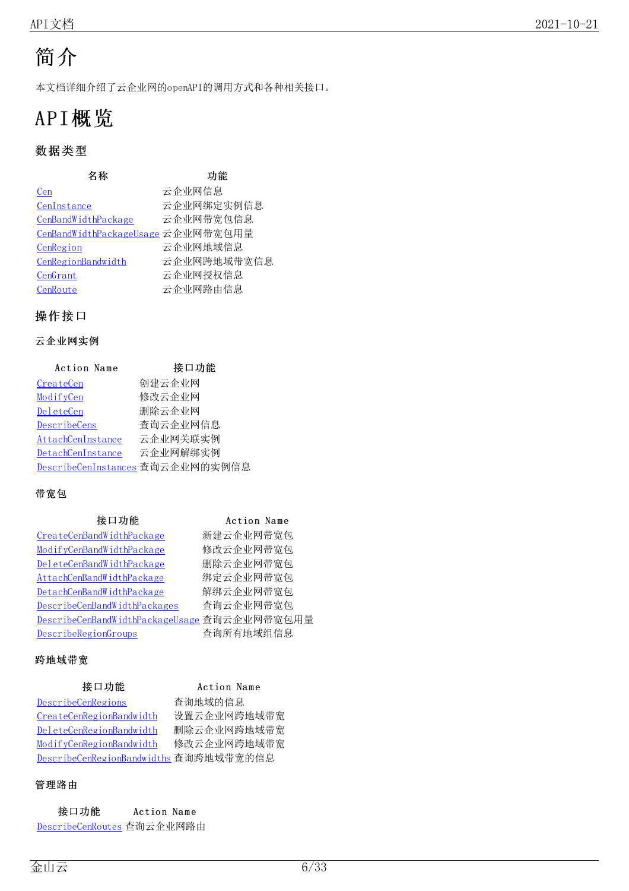# <span id="page-5-0"></span>简介

本文档详细介绍了云企业网的openAPI的调用方式和各种相关接口。

# <span id="page-5-1"></span>API概览

# <span id="page-5-2"></span>数据类型

| 名称                                 | 功能          |
|------------------------------------|-------------|
| Cen                                | 云企业网信息      |
| CenInstance                        | 云企业网绑定实例信息  |
| CenBandWidthPackage                | 云企业网带宽包信息   |
| CenBandWidthPackageUsage 云企业网带宽包用量 |             |
| CenRegion                          | 云企业网地域信息    |
| CenRegionBandwidth                 | 云企业网跨地域带宽信息 |
| CenGrant                           | 云企业网授权信息    |
| CenRoute                           | 云企业网路由信息    |

### <span id="page-5-3"></span>操作接口

### <span id="page-5-4"></span>云企业网实例

| Action Name       | 接口功能                             |
|-------------------|----------------------------------|
| CreateCen         | 创建云企业网                           |
| ModifyCen         | 修改云企业网                           |
| DeleteCen         | 删除云企业网                           |
| DescribeCens      | 查询云企业网信息                         |
| AttachCenInstance | 云企业网关联实例                         |
| DetachCenInstance | 云企业网解绑实例                         |
|                   | DescribeCenInstances 查询云企业网的实例信息 |

### <span id="page-5-5"></span>带宽包

| 接口功能                                         | Action Name |
|----------------------------------------------|-------------|
| CreateCenBandWidthPackage                    | 新建云企业网带宽包   |
| ModifyCenBandWidthPackage                    | 修改云企业网带宽包   |
| DeleteCenBandWidthPackage                    | 删除云企业网带宽包   |
| AttachCenBandWidthPackage                    | 绑定云企业网带宽包   |
| DetachCenBandWidthPackage                    | 解绑云企业网带宽包   |
| DescribeCenBandWidthPackages                 | 查询云企业网带宽包   |
| DescribeCenBandWidthPackageUsage 查询云企业网带宽包用量 |             |
| DescribeRegionGroups                         | 查询所有地域组信息   |

### <span id="page-5-6"></span>跨地域带宽

| 接口功能                                   | Action Name |
|----------------------------------------|-------------|
| DescribeCenRegions                     | 查询地域的信息     |
| CreateCenRegionBandwidth               | 设置云企业网跨地域带宽 |
| DeleteCenRegionBandwidth               | 删除云企业网跨地域带宽 |
| ModifyCenRegionBandwidth               | 修改云企业网跨地域带宽 |
| DescribeCenRegionBandwidths 查询跨地域带宽的信息 |             |

### <span id="page-5-7"></span>管理路由

| 接口功能                       | Action Name |
|----------------------------|-------------|
| DescribeCenRoutes 查询云企业网路由 |             |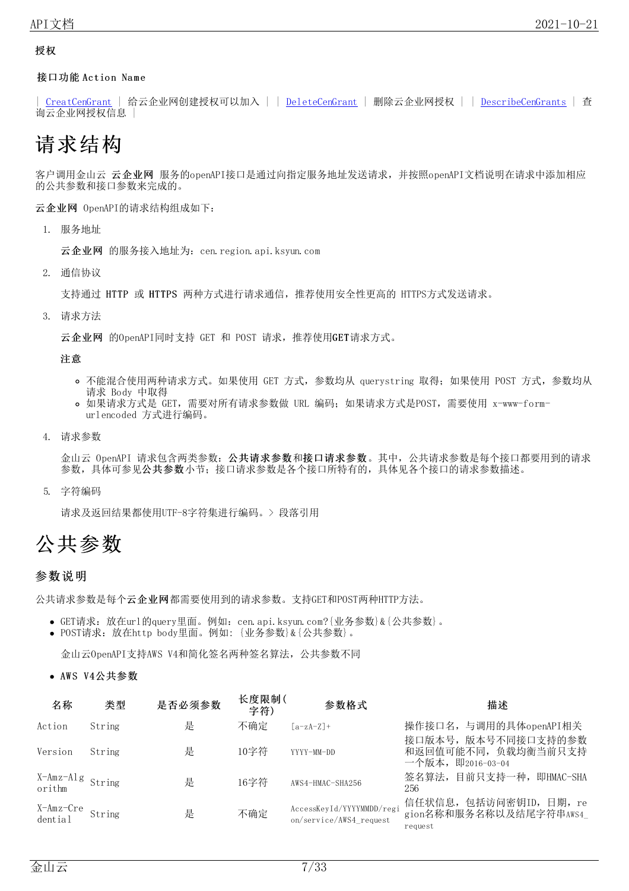#### <span id="page-6-0"></span>授权

接口功能 Action Name

| [CreatCenGrant](https://docs.ksyun.com/documents/40457) | 给云企业网创建授权可以加入 | | [DeleteCenGrant](https://docs.ksyun.com/documents/40458) | 删除云企业网授权 | | [DescribeCenGrants](https://docs.ksyun.com/documents/40459) | 查 询云企业网授权信息 |

# <span id="page-6-1"></span>请求结构

客户调用金山云 云企业网 服务的openAPI接口是通过向指定服务地址发送请求,并按照openAPI文档说明在请求中添加相应 的公共参数和接口参数来完成的。

云企业网 OpenAPI的请求结构组成如下:

1. 服务地址

云企业网 的服务接入地址为: cen. region. api. ksyun. com

2. 通信协议

支持通过 HTTP 或 HTTPS 两种方式进行请求通信,推荐使用安全性更高的 HTTPS方式发送请求。

3. 请求方法

云企业网 的OpenAPI同时支持 GET 和 POST 请求,推荐使用GET请求方式。

注意

- o 不能混合使用两种请求方式。如果使用 GET 方式, 参数均从 querystring 取得; 如果使用 POST 方式, 参数均从 请求 Body 中取得
- 如果请求方式是 GET,需要对所有请求参数做 URL 编码;如果请求方式是POST,需要使用 x-www-formurlencoded 方式进行编码。
- 4. 请求参数

金山云 OpenAPI 请求包含两类参数:公共请求参数和接口请求参数。其中,公共请求参数是每个接口都要用到的请求 参数,具体可参见公共参数小节;接口请求参数是各个接口所特有的,具体见各个接口的请求参数描述。

5. 字符编码

请求及返回结果都使用UTF-8字符集进行编码。> 段落引用

# <span id="page-6-2"></span>公共参数

#### <span id="page-6-3"></span>参数说明

公共请求参数是每个云企业网都需要使用到的请求参数。支持GET和POST两种HTTP方法。

- GET请求:放在url的query里面。例如:cen.api.ksyun.com?{业务参数}&{公共参数}。
- POST请求:放在http body里面。例如: {业务参数}&{公共参数}。

金山云OpenAPI支持AWS V4和简化签名两种签名算法,公共参数不同

• AWS V4公共参数

| 名称                   | 类型     | 是否必须参数 | 长度限制(<br>字符) | 参数格式                                                 | 描述                                                          |
|----------------------|--------|--------|--------------|------------------------------------------------------|-------------------------------------------------------------|
| Action               | String | 是      | 不确定          | $[a-zA-Z]+$                                          | 操作接口名, 与调用的具体openAPI相关<br>接口版本号, 版本号不同接口支持的参数               |
| Version              | String | 是      | 10字符         | YYYY-MM-DD                                           | 和返回值可能不同, 负载均衡当前只支持<br>一个版本,即2016-03-04                     |
| X-Amz-Alg<br>orithm  |        | 是      | 16字符         | AWS4-HMAC-SHA256                                     | 签名算法, 目前只支持一种, 即HMAC-SHA<br>256                             |
| X-Amz-Cre<br>dential | String | 是      | 不确定          | AccessKeyId/YYYYMMDD/regi<br>on/service/AWS4_request | 信任状信息,包括访问密钥ID,日期, re<br>gion名称和服务名称以及结尾字符串AWS4_<br>request |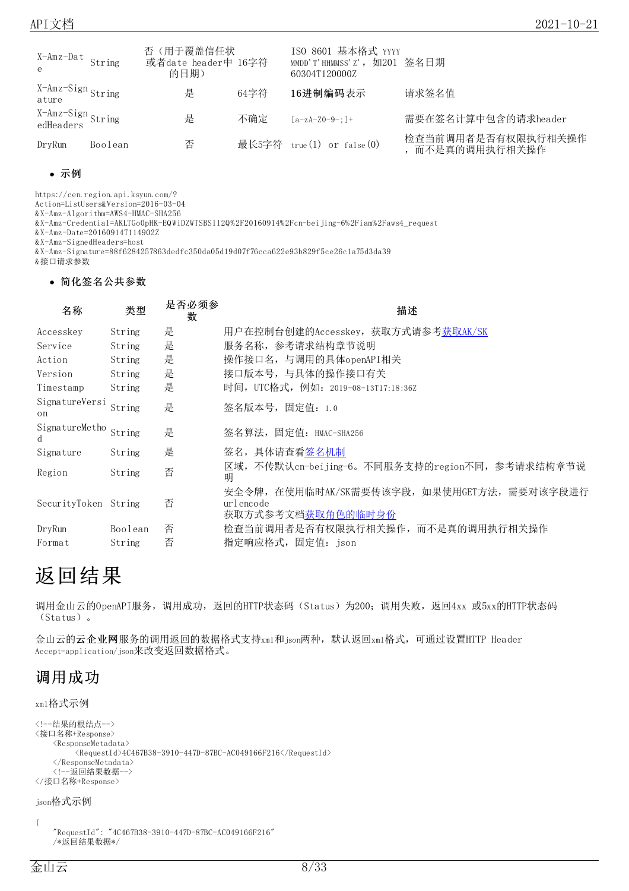| X-Amz-Dat String<br>$\mathsf{e}$ |         | 否(用于覆盖信任状<br>或者date header中 16字符<br>的日期) |      | ISO 8601 基本格式 YYYY<br>MMDD'T'HHMMSS'Z', 如201 签名日期<br>60304T120000Z |                                       |
|----------------------------------|---------|------------------------------------------|------|--------------------------------------------------------------------|---------------------------------------|
| X-Amz-Sign String<br>ature       |         | 是                                        | 64字符 | 16进制编码表示                                                           | 请求签名值                                 |
| X-Amz-Sign<br>edHeaders          |         | 是                                        | 不确定  | $[a-zA-Z0-9-1]$ +                                                  | 需要在签名计算中包含的请求header                   |
| DryRun                           | Boolean | 否                                        |      | 最长5字符 $true(1)$ or $false(0)$                                      | 检查当前调用者是否有权限执行相关操作<br>, 而不是真的调用执行相关操作 |

#### 示例

https://cen.region.api.ksyun.com/?

Action=ListUsers&Version=2016-03-04

&X-Amz-Algorithm=AWS4-HMAC-SHA256

&X-Amz-Credential=AKLTGo0pHK-EQWiDZWTSBSll2Q%2F20160914%2Fcn-beijing-6%2Fiam%2Faws4\_request

&X-Amz-Date=20160914T114902Z

&X-Amz-SignedHeaders=host

&X-Amz-Signature=88f6284257863dedfc350da05d19d07f76cca622e93b829f5ce26c1a75d3da39 &接口请求参数

简化签名公共参数

| 名称                   | 类型      | 是否必须参<br>数 | 描述                                                                                 |  |
|----------------------|---------|------------|------------------------------------------------------------------------------------|--|
| Accesskey            | String  | 是          | 用户在控制台创建的Accesskey,获取方式请参考 <u>获取AK/SK</u>                                          |  |
| Service              | String  | 是          | 服务名称,参考请求结构章节说明                                                                    |  |
| Action               | String  | 是          | 操作接口名, 与调用的具体openAPI相关                                                             |  |
| Version              | String  | 是          | 接口版本号, 与具体的操作接口有关                                                                  |  |
| Timestamp            | String  | 是          | 时间, UTC格式, 例如: 2019-08-13T17:18:36Z                                                |  |
| SignatureVersi<br>on | String  | 是          | 签名版本号,固定值: 1.0                                                                     |  |
| SignatureMetho<br>d  | String  | 是          | 签名算法,固定值: HMAC-SHA256                                                              |  |
| Signature            | String  | 是          | 签名,具体请查看签名机制                                                                       |  |
| Region               | String  | 否          | 区域,不传默认cn-beijing-6。不同服务支持的region不同,参考请求结构章节说<br>明                                 |  |
| SecurityToken String |         | 否          | 安全令牌,在使用临时AK/SK需要传该字段,如果使用GET方法,需要对该字段进行<br>urlencode<br>获取方式参考文档 <u>获取角色的临时身份</u> |  |
| DryRun               | Boolean | 否          | 检查当前调用者是否有权限执行相关操作, 而不是真的调用执行相关操作                                                  |  |
| Format               | String  | 否          | 指定响应格式, 固定值: json                                                                  |  |

# <span id="page-7-0"></span>返回结果

调用金山云的OpenAPI服务,调用成功,返回的HTTP状态码(Status)为200;调用失败,返回4xx 或5xx的HTTP状态码 (Status)。

金山云的云企业网服务的调用返回的数据格式支持xml和json两种,默认返回xml格式,可通过设置HTTP Header Accept=application/json来改变返回数据格式。

# <span id="page-7-1"></span>调用成功

xml格式示例

```
<!--结果的根结点-->
<接口名称+Response>
        <ResponseMetadata>
                   <\!\!RequestId\!\!>\!\!4C467B38\!-\!3910\!-\!447D\!-\!87BC\!-\!AC049166F216\!\!/\!RequestId\!\!>\!\!2D\!-\!2D\!+\!2D\!+\!2D\!+\!2D\!+\!2D\!+\!2D\!+\!2D\!+\!2D\!+\!2D\!+\!2D\!+\!2D\!+\!2D\!+\!2D\!+\!2D\!+\!2D\!+\!2D\!+\!2D\!+\!2D\!+\!2D\!+\!2D\!+\!2D\!+\!2D\!+\!2D\!+\!2D\\langle/ResponseMetadata>
        <!--返回结果数据-->
</接口名称+Response>
```

```
json格式示例
```
{

```
"RequestId": "4C467B38-3910-447D-87BC-AC049166F216"
/*返回结果数据*/
```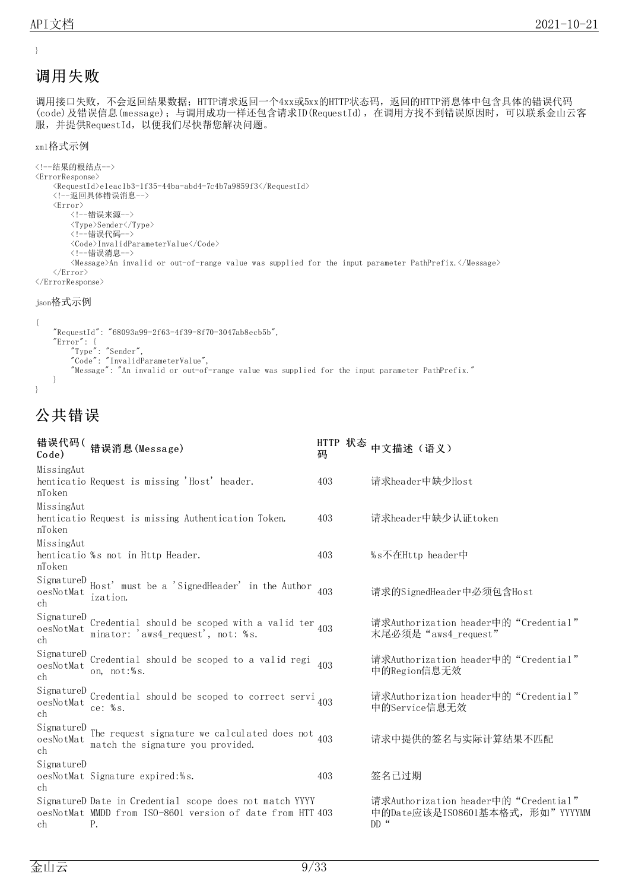}

# <span id="page-8-0"></span>调用失败

调用接口失败,不会返回结果数据; HTTP请求返回一个4xx或5xx的HTTP状态码, 返回的HTTP消息体中包含具体的错误代码 (code)及错误信息(message);与调用成功一样还包含请求ID(RequestId),在调用方找不到错误原因时,可以联系金山云客 服,并提供RequestId,以便我们尽快帮您解决问题。

#### xml格式示例

```
<!--结果的根结点-->
\langle\text{ErrorResponse}\rangle<\!\!RequestId\!\!>e1eac1b3-1f35-44ba-abd4-7c4b7a9859f3\!\!<\!\!/\!RequestId\!\!><!--返回具体错误消息-->
    <Error>
         <!--错误来源-->
         <Type>Sender</Type>
         <!--错误代码-->
         <Code>InvalidParameterValue</Code>
         <!--错误消息-->
        <Message>An invalid or out-of-range value was supplied for the input parameter PathPrefix.</Message>
    </Error>
\langle / \text{ErrorResponse} \rangle
```
#### json格式示例

```
{
    "RequestId": "68093a99-2f63-4f39-8f70-3047ab8ecb5b",
    "Error": {
        "Type": "Sender",
        "Code": "InvalidParameterValue",
        "Message": "An invalid or out-of-range value was supplied for the input parameter PathPrefix."
    }
}
```
# <span id="page-8-1"></span>公共错误

| Code)                                    | 错误代码(错误消息(Message)                                                                                                         | 码   | HTTP 状态 中文描述 (语义)                                                                    |
|------------------------------------------|----------------------------------------------------------------------------------------------------------------------------|-----|--------------------------------------------------------------------------------------|
| MissingAut<br>nToken                     | henticatio Request is missing 'Host' header.                                                                               | 403 | 请求header中缺少Host                                                                      |
| MissingAut<br>nToken                     | henticatio Request is missing Authentication Token.                                                                        | 403 | 请求header中缺少认证token                                                                   |
| MissingAut<br>nToken                     | henticatio %s not in Http Header.                                                                                          | 403 | %s不在Http header中                                                                     |
| SignatureD<br>$o$ es $No$ t $Ma$ t<br>ch | Host' must be a 'SignedHeader' in the Author 403<br>ization.                                                               |     | 请求的SignedHeader中必须包含Host                                                             |
| SignatureD<br>oesNotMat<br>ch            | Credential should be scoped with a valid ter $_{403}$<br>minator: 'aws4 request', not: %s.                                 |     | 请求Authorization header中的"Credential"<br>末尾必须是 "aws4 request"                         |
| SignatureD<br>oesNotMat<br>ch            | Credential should be scoped to a valid regi<br>on, not:%s.                                                                 | 403 | 请求Authorization header中的"Credential"<br>中的Region信息无效                                 |
| SignatureD<br>oesNotMat<br>ch            | Credential should be scoped to correct servi $_{403}$<br>ce: $%s.$                                                         |     | 请求Authorization header中的"Credential"<br>中的Service信息无效                                |
| SignatureD<br>oesNotMat<br>ch            | The request signature we calculated does not $_{403}$<br>match the signature you provided.                                 |     | 请求中提供的签名与实际计算结果不匹配                                                                   |
| SignatureD<br>ch                         | oesNotMat Signature expired:%s.                                                                                            | 403 | 签名已过期                                                                                |
| ch                                       | SignatureD Date in Credential scope does not match YYYY<br>oesNotMat MMDD from ISO-8601 version of date from HTT 403<br>Ρ. |     | 请求Authorization header中的"Credential"<br>中的Date应该是IS08601基本格式,形如"YYYYMM<br>DD $\cdot$ |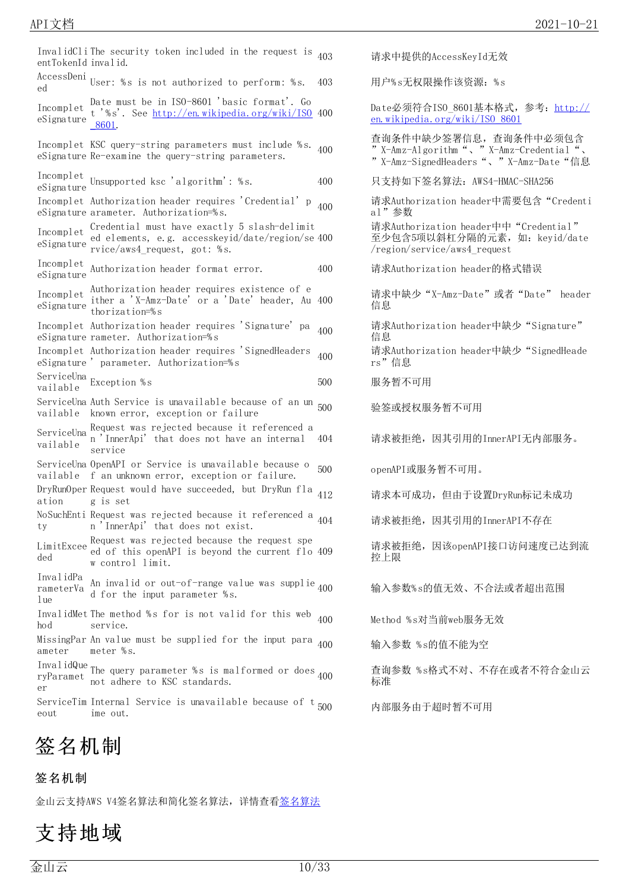| InvalidCli The security token included in the request is<br>403<br>entTokenId invalid.                                                                      | 请求中提供的AccessKeyId无效                                                                                               |
|-------------------------------------------------------------------------------------------------------------------------------------------------------------|-------------------------------------------------------------------------------------------------------------------|
| AccessDeni User: %s is not authorized to perform: %s.<br>403<br>ed                                                                                          | 用户%s无权限操作该资源: %s                                                                                                  |
| Date must be in ISO-8601 'basic format'. Go<br>Incomplet<br>t '%s'. See http://en.wikipedia.org/wiki/ISO 400<br>eSignature<br>8601.                         | Date必须符合ISO 8601基本格式, 参考: http://<br>en. wikipedia. org/wiki/ISO 8601                                             |
| Incomplet KSC query-string parameters must include %s.<br>400<br>eSignature Re-examine the query-string parameters.                                         | 查询条件中缺少签署信息, 查询条件中必须包含<br>" X-Amz-Algorithm ", " X-Amz-Credential ",<br>" X-Amz-SignedHeaders "、 " X-Amz-Date "信息 |
| Incomplet<br>Unsupported ksc 'algorithm': %s.<br>400<br>eSignature                                                                                          | 只支持如下签名算法: AWS4-HMAC-SHA256                                                                                       |
| Incomplet Authorization header requires 'Credential' p<br>400<br>eSignature arameter. Authorization=%s.                                                     | 请求Authorization header中需要包含"Credenti<br>al"参数                                                                     |
| Credential must have exactly 5 slash-delimit<br>Incomplet<br>ed elements, e.g. accesskeyid/date/region/se 400<br>eSignature<br>rvice/aws4 request, got: %s. | 请求Authorization header中中"Credential"<br>至少包含5项以斜杠分隔的元素, 如: keyid/date<br>/region/service/aws4 request             |
| Incomplet<br>Authorization header format error.<br>400<br>eSignature                                                                                        | 请求Authorization header的格式错误                                                                                       |
| Authorization header requires existence of e<br>Incomplet<br>ither a 'X-Amz-Date' or a 'Date' header, Au 400<br>eSigma<br>thorization=%s                    | 请求中缺少"X-Amz-Date"或者"Date" header<br>信息                                                                            |
| Incomplet Authorization header requires 'Signature' pa<br>400<br>eSignature rameter. Authorization=%s                                                       | 请求Authorization header中缺少"Signature"<br>信息                                                                        |
| Incomplet Authorization header requires 'SignedHeaders<br>400<br>eSignature 'parameter. Authorization=%s                                                    | 请求Authorization header中缺少"SignedHeade<br>rs"信息                                                                    |
| ServiceUna Exception %s<br>500<br>vailable                                                                                                                  | 服务暂不可用                                                                                                            |
| ServiceUna Auth Service is unavailable because of an un<br>500<br>known error, exception or failure<br>vailable                                             | 验签或授权服务暂不可用                                                                                                       |
| Request was rejected because it referenced a<br>ServiceUna<br>n 'InnerApi' that does not have an internal<br>404<br>vailable<br>service                     | 请求被拒绝, 因其引用的InnerAPI无内部服务。                                                                                        |
| ServiceUna OpenAPI or Service is unavailable because o<br>500<br>vailable f an unknown error, exception or failure.                                         | openAPI或服务暂不可用。                                                                                                   |
| DryRunOper Request would have succeeded, but DryRun fla<br>412<br>ation<br>g is set                                                                         | 请求本可成功, 但由于设置DryRun标记未成功                                                                                          |
| NoSuchEnti Request was rejected because it referenced a $_{404}$<br>n 'InnerApi' that does not exist.<br>ty                                                 | 请求被拒绝, 因其引用的InnerAPI不存在                                                                                           |
| Request was rejected because the request spe<br>LimitExcee<br>ed of this openAPI is beyond the current flo 409<br>ded<br>w control limit.                   | 请求被拒绝, 因该openAPI接口访问速度已达到流<br>控上限                                                                                 |
| InvalidPa<br>An invalid or out-of-range value was supplie 400<br>rameterVa<br>d for the input parameter %s.<br>1 ue                                         | 输入参数%s的值无效、不合法或者超出范围                                                                                              |
| InvalidMet The method %s for is not valid for this web<br>400<br>hod<br>service.                                                                            | Method %s对当前web服务无效                                                                                               |
| MissingPar An value must be supplied for the input para <sub>400</sub><br>meter %s.<br>ameter                                                               | 输入参数 %s的值不能为空                                                                                                     |
| InvalidQue The query parameter %s is malformed or does $_{400}$<br>not adhere to KSC standards.<br>er                                                       | 查询参数 %s格式不对、不存在或者不符合金山云<br>标准                                                                                     |
| ServiceTim Internal Service is unavailable because of $t_{500}$<br>ime out.<br>eout                                                                         | 内部服务由于超时暂不可用                                                                                                      |

# <span id="page-9-0"></span>签名机制

### <span id="page-9-1"></span>签名机制

金山云支持AWS V4签名算法和简化签名算法,详情查[看签名算法](https://docs.ksyun.com/documents/40248)

# <span id="page-9-2"></span>支持地域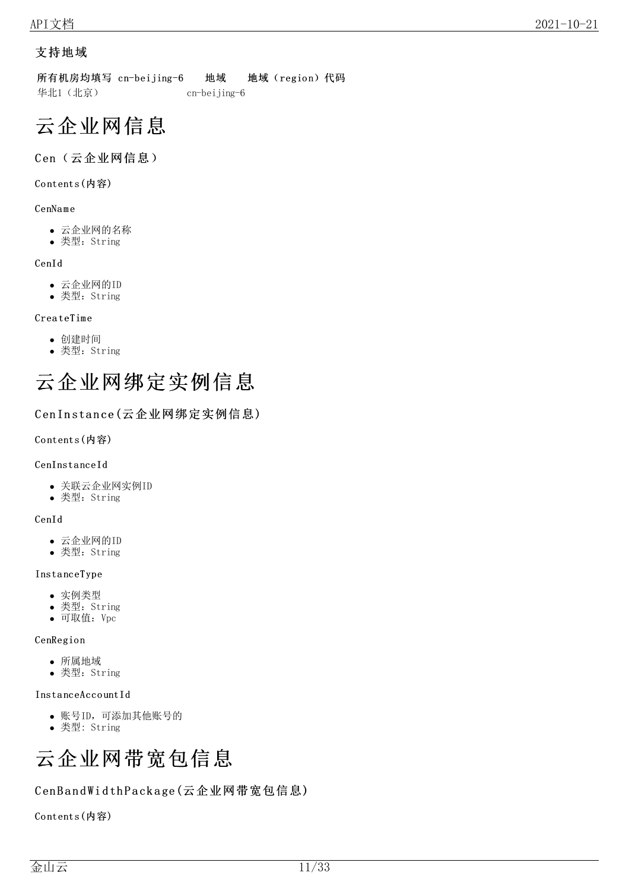### <span id="page-10-0"></span>支持地域

所有机房均填写 cn-beijing-6 地域 地域 (region)代码 华北1(北京) cn-beijing-6

# <span id="page-10-1"></span>云企业网信息

### <span id="page-10-2"></span>Cen(云企业网信息)

### <span id="page-10-3"></span>Co ntents(内容)

### CenNa m e

- 云企业网的名称
- 类型: String

### CenId

- 云企业网的ID
- 类型:String

### CreateTime

- 创建时间
- 类型:String

# <span id="page-10-4"></span>云企业网绑定实例信息

### <span id="page-10-5"></span>Cen Instance (云企业网绑定实例信息)

#### <span id="page-10-6"></span>Co ntents(内容)

#### CenInsta nceId

- 关联云企业网实例ID
- 类型:String

#### CenId

- 云企业网的ID
- 类型:String

#### Insta nceType

- 实例类型
- 类型:String
- 可取值:Vpc

#### **CenRegion**

- 所属地域
- 类型:String

#### Insta nceAcco untId

- 账号ID,可添加其他账号的
- 类型: String

# <span id="page-10-7"></span>云企业网带宽包信息

### <span id="page-10-8"></span>CenBandWidthPackage(云企业网带宽包信息)

<span id="page-10-9"></span>Co ntents(内容)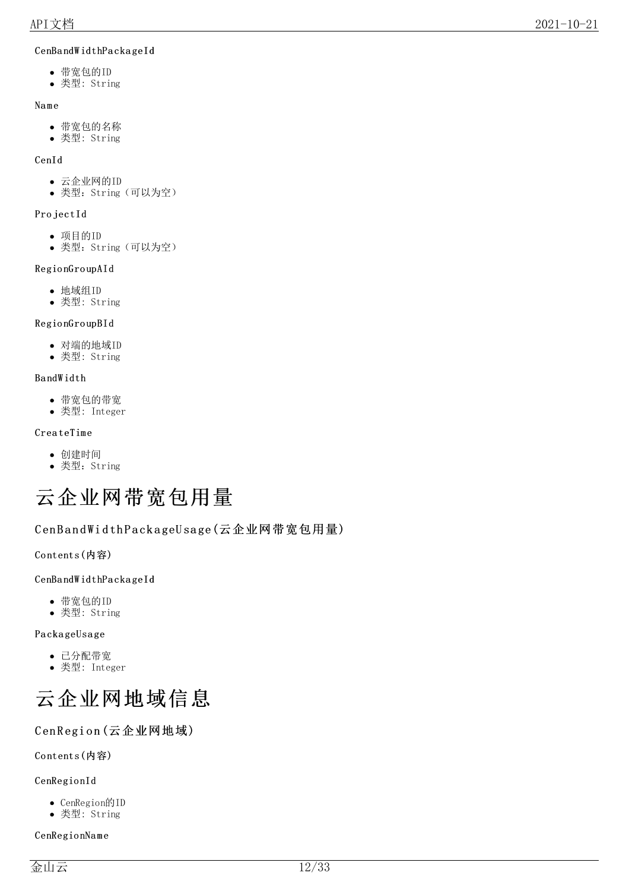### CenBa ndW idthPa cka geId

- 带宽包的ID
- 类型: String

### Na m e

- 带宽包的名称
- 类型: String

### CenId

- 云企业网的ID
- 类型: String (可以为空)

## Pro jectId

- 项目的ID
- 类型: String (可以为空)

## Regio nGro upAId

- 地域组ID
- 类型: String

# Regio nGro upBId

- 对端的地域ID
- 类型: String

## Ba ndW idth

- 带宽包的带宽
- 类型: Integer

### Crea teTime

- 创建时间
- 类型: String

# <span id="page-11-0"></span>云企业网带宽包用量

# <span id="page-11-1"></span>CenBandWidthPackageUsage(云企业网带宽包用量)

<span id="page-11-2"></span>Co ntents(内容)

### CenBa ndW idthPa cka geId

- 带宽包的ID
- 类型: String

### PackageUsage

- 已分配带宽
- 类型: Integer

<span id="page-11-3"></span>

# <span id="page-11-4"></span>CenRegion (云企业网地域)

# <span id="page-11-5"></span>Co ntents(内容)

# CenRegio nId

- CenRegion的ID
- 类型: String

### CenRegio nNa m e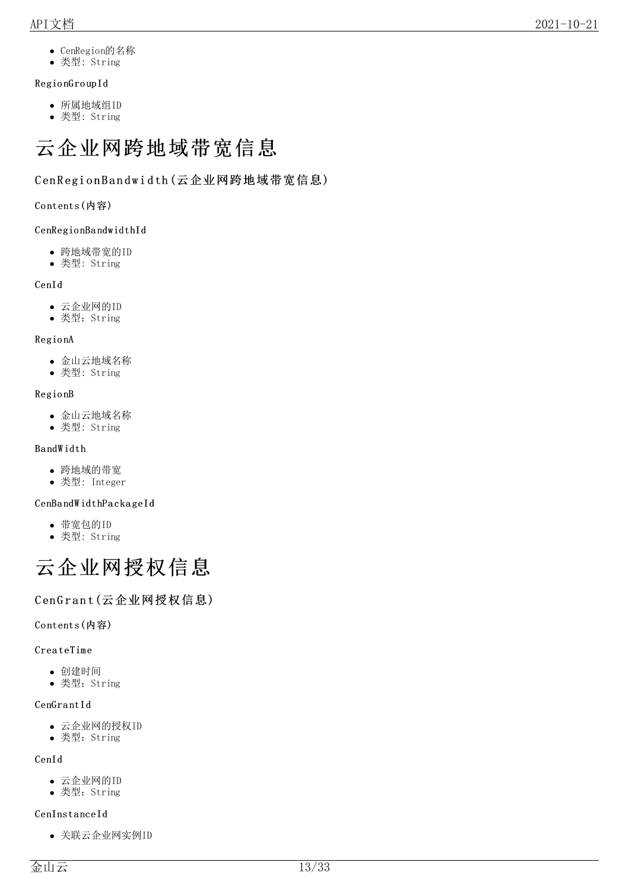- CenRegion的名称
- 类型: String

### Regio nGro upId

- 所属地域组ID
- 类型: String

# <span id="page-12-0"></span>云企业网跨地域带宽信息

### <span id="page-12-1"></span>C en R egi o n B a n d w i d th (云企业网跨地域带宽信息)

#### <span id="page-12-2"></span>Co ntents(内容)

#### CenRegio nBa ndwidthId

- 跨地域带宽的ID
- 类型: String

#### CenId

- 云企业网的ID
- 类型:String

#### Regio nA

- 金山云地域名称
- 类型: String

#### Regio nB

- 金山云地域名称
- 类型: String

#### Ba ndW idth

- 跨地域的带宽
- 类型: Integer

#### CenBa ndW idthPa cka geId

- 带宽包的ID
- 类型: String

# <span id="page-12-3"></span>云企业网授权信息

### <span id="page-12-4"></span>CenGrant(云企业网授权信息)

#### <span id="page-12-5"></span>Co ntents(内容)

#### **CreateTime**

- 创建时间
- 类型:String

#### CenGrantId

- 云企业网的授权ID
- 类型:String

#### CenId

- 云企业网的ID
- 类型:String

#### CenInsta nceId

关联云企业网实例ID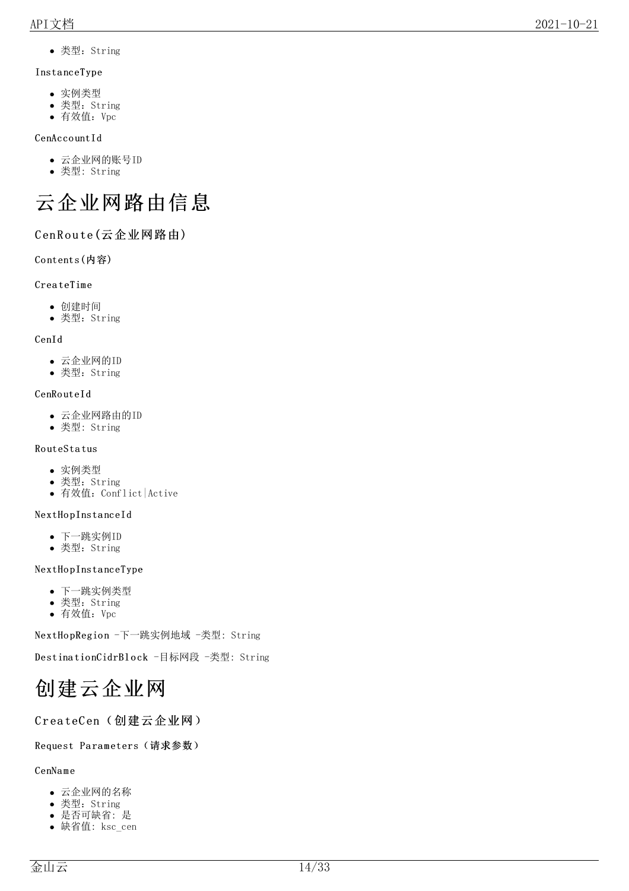类型:String

#### Insta nceType

- 实例类型
- 类型:String
- 有效值:Vpc

#### CenAccountId

- 云企业网的账号ID
- 类型: String

# <span id="page-13-0"></span>云企业网路由信息

### <span id="page-13-1"></span>CenRoute(云企业网路由)

#### <span id="page-13-2"></span>Co ntents(内容)

#### **CreateTime**

- 创建时间
- 类型:String

#### CenId

- 云企业网的ID
- 类型:String

#### CenRouteId

- 云企业网路由的ID
- 类型: String

#### Ro uteSta tus

- 实例类型
- 类型:String
- 有效值: Conflict Active

#### NextHo pInsta nceId

- 下一跳实例ID
- 类型:String

#### NextHopInstanceType

- 下一跳实例类型
- 类型:String
- 有效值:Vpc

NextHopRegion -下一跳实例地域 -类型: String

DestinationCidrBlock -目标网段 -类型: String

# <span id="page-13-3"></span>创建云企业网

### <span id="page-13-4"></span>CreateCen(创建云企业网)

#### <span id="page-13-5"></span>Request Parameters (请求参数)

#### CenNa m e

- 云企业网的名称
- 类型:String
- 是否可缺省: 是
- 缺省值: ksc\_cen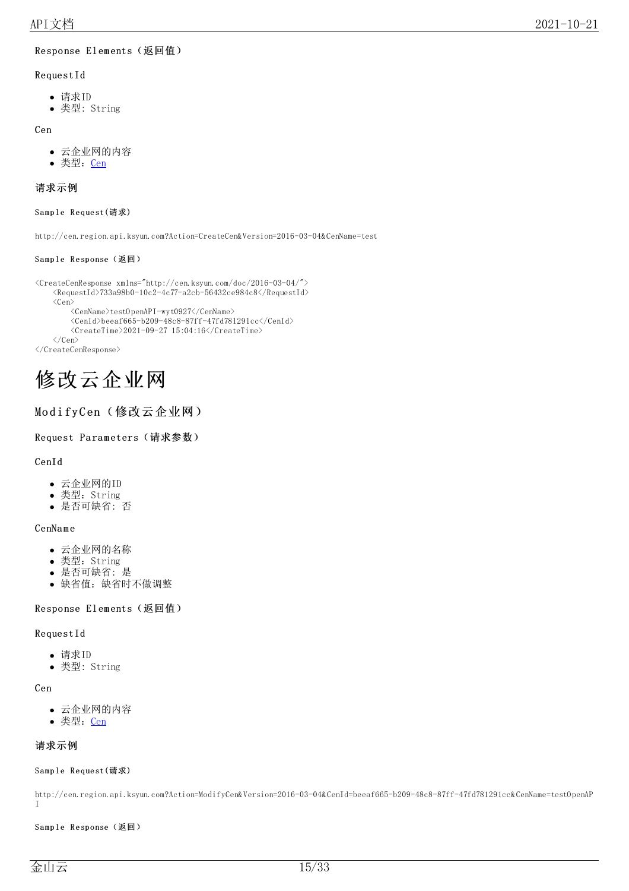#### <span id="page-14-0"></span>Response Elements (返回值)

#### RequestId

- 请求ID
- 类型: String

#### Cen

- 云企业网的内容
- 类型: Cen

#### <span id="page-14-1"></span>请求示例

#### <span id="page-14-2"></span>Sample Request(请求)

http://cen.region.api.ksyun.com?Action=CreateCen&Version=2016-03-04&CenName=test

#### <span id="page-14-3"></span>Sample Response(返回)

```
<CreateCenResponse xmlns="http://cen.ksyun.com/doc/2016-03-04/">
     \langleRequestId>733a98b0-10c2-4c77-a2cb-56432ce984c8\langle/RequestId>
     \langle Cen \rangle<CenName>testOpenAPI-wyt0927</CenName>
          \langle \text{CenId} \ranglebeeaf665-b209-48c8-87ff-47fd781291cc\langle \text{CenId} \rangle<CreateTime>2021-09-27 15:04:16</CreateTime>
     \langle/Cen\rangle\langle/CreateCenResponse>
```
# <span id="page-14-4"></span>修改云企业网

### <span id="page-14-5"></span>ModifyCen(修改云企业网)

#### <span id="page-14-6"></span>Request Parameters (请求参数)

#### CenId

- 云企业网的ID
- 类型: String
- 是否可缺省: 否

#### CenNa m e

- 云企业网的名称
- 类型:String
- 是否可缺省: 是
- 缺省值:缺省时不做调整

#### <span id="page-14-7"></span>Response Elements (返回值)

#### RequestId

- 请求ID
- 类型: String

#### Cen

- 云企业网的内容
- 类型: Cen

#### <span id="page-14-8"></span>请求示例

#### <span id="page-14-9"></span>Sample Request(请求)

http://cen.region.api.ksyun.com?Action=ModifyCen&Version=2016-03-04&CenId=beeaf665-b209-48c8-87ff-47fd781291cc&CenName=testOpenAP I

#### <span id="page-14-10"></span>Sample Response(返回)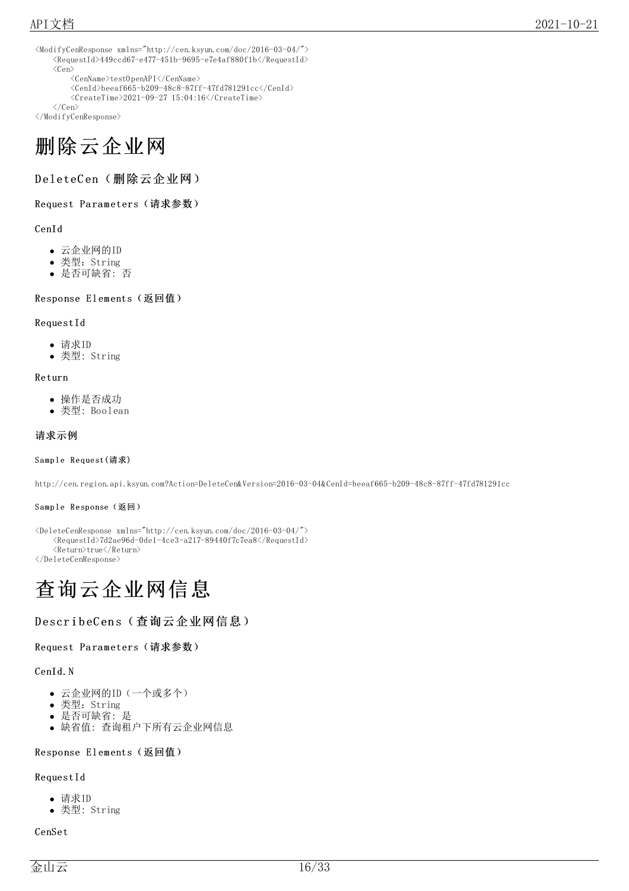```
<ModifyCenResponse xmlns="http://cen.ksyun.com/doc/2016-03-04/">
     \langle Required\rangle449ccd67-e477-451b-9695-e7e4af880f1b\langleRequestId\rangle\langleCen\rangle\langle CenName \rangle \text{testOpenAPI} \langle /CenName \rangle\langle \text{CenId}\ranglebeeaf665-b209-48c8-87ff-47fd781291cc\langle \text{/CenId}\rangle\langleCreateTime>2021-09-27 15:04:16\langle/CreateTime>
```

```
\langle/Cen\rangle
```

```
</ModifyCenResponse>
```
# <span id="page-15-0"></span>删除云企业网

<span id="page-15-1"></span>DeleteCen(删除云企业网)

<span id="page-15-2"></span>Request Parameters (请求参数)

#### CenId

- 云企业网的ID
- 类型:String
- 是否可缺省: 否

<span id="page-15-3"></span>Response Elements (返回值)

#### RequestId

- 请求ID
- 类型: String

#### Return

- 操作是否成功
- 类型: Boolean

#### <span id="page-15-4"></span>请求示例

#### <span id="page-15-5"></span>Sample Request(请求)

http://cen.region.api.ksyun.com?Action=DeleteCen&Version=2016-03-04&CenId=beeaf665-b209-48c8-87ff-47fd781291cc

#### <span id="page-15-6"></span>Sample Response(返回)

<DeleteCenResponse xmlns="http://cen.ksyun.com/doc/2016-03-04/"> <RequestId>7d2ae96d-0de1-4ce3-a217-89440f7c7ea8</RequestId> <Return>true</Return>

</DeleteCenResponse>

# <span id="page-15-7"></span>查询云企业网信息

#### <span id="page-15-8"></span>DescribeCens (查询云企业网信息)

#### <span id="page-15-9"></span>Request Parameters (请求参数)

#### CenId.N

- 云企业网的ID(一个或多个)
- 类型:String
- 是否可缺省: 是
- 缺省值: 查询租户下所有云企业网信息

#### <span id="page-15-10"></span>Response Elements (返回值)

#### RequestId

- 请求ID
- 类型: String

#### CenSet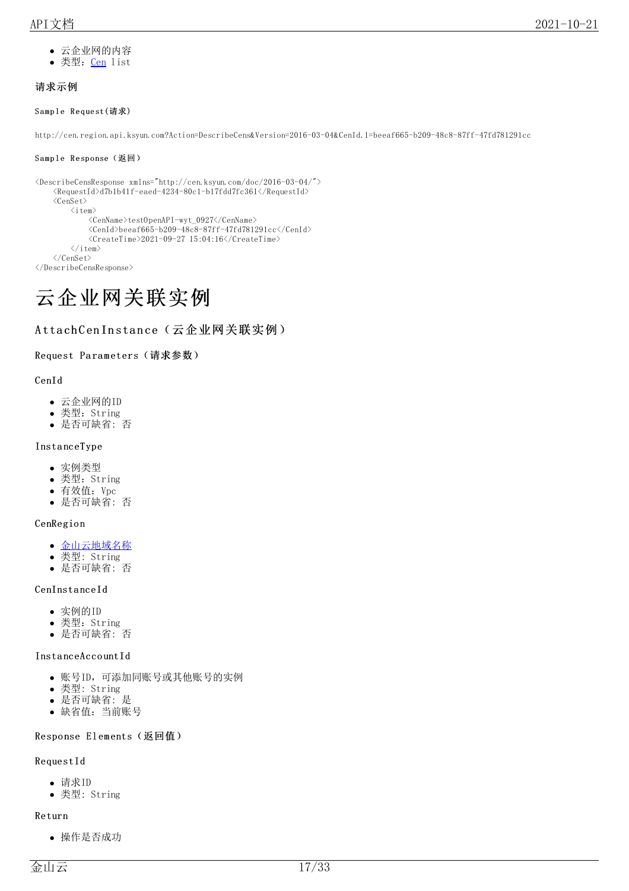- 云企业网的内容
- 类型: Cen list

### <span id="page-16-0"></span>请求示例

#### <span id="page-16-1"></span>Sample Request(请求)

http://cen.region.api.ksyun.com?Action=DescribeCens&Version=2016-03-04&CenId.1=beeaf665-b209-48c8-87ff-47fd781291cc

#### <span id="page-16-2"></span>Sample Response(返回)

```
<DescribeCensResponse xmlns="http://cen.ksyun.com/doc/2016-03-04/">
     \langle \text{RequestId} \rangled7b1b41f-eaed-4234-80c1-b17fdd7fc361\langle \text{RequestId} \rangle\langle CenSet \rangle\langleitem\rangle<CenName>testOpenAPI-wyt_0927</CenName>
                  \langle \text{CenId} \ranglebeeaf665-b209-48c8-87ff-47fd781291cc\langle \text{CenId} \rangle\langleCreateTime\rangle2021-09-27 15:04:16\langle/CreateTime\rangle\langle/item>
     \langle/CenSet\rangle</DescribeCensResponse>
```
# <span id="page-16-3"></span>云企业网关联实例

### <span id="page-16-4"></span>AttachCenInstance(云企业网关联实例)

#### <span id="page-16-5"></span>Request Parameters (请求参数)

#### CenId

- 云企业网的ID
- 类型: String
- 是否可缺省: 否

### Insta nceType

- 实例类型
- 类型:String
- 有效值:Vpc
- 是否可缺省: 否

#### **CenRegion**

- [金山云地域名称](https://docs.ksyun.com/documents/40391)
- 类型: String 是否可缺省: 否

#### CenInsta nceId

- 实例的ID
- 类型:String
- 是否可缺省: 否

#### Insta nceAcco untId

- 账号ID,可添加同账号或其他账号的实例
- 类型: String
- 是否可缺省: 是
- 缺省值:当前账号

#### <span id="page-16-6"></span>Response Elements (返回值)

#### RequestId

- 请求ID
- 类型: String

#### Return

操作是否成功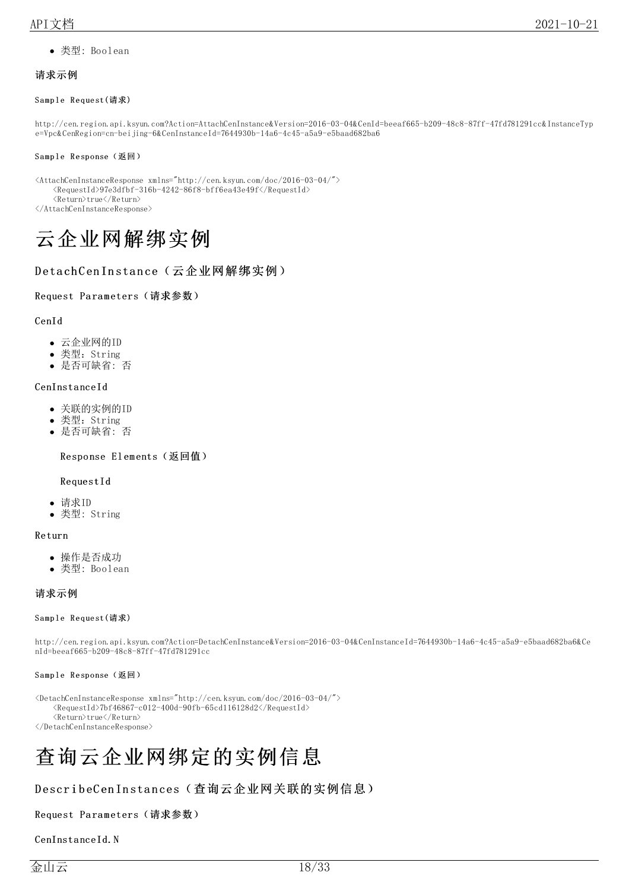类型: Boolean

#### <span id="page-17-0"></span>请求示例

#### <span id="page-17-1"></span>Sample Request(请求)

http://cen.region.api.ksyun.com?Action=AttachCenInstance&Version=2016-03-04&CenId=beeaf665-b209-48c8-87ff-47fd781291cc&InstanceTyp e=Vpc&CenRegion=cn-beijing-6&CenInstanceId=7644930b-14a6-4c45-a5a9-e5baad682ba6

#### <span id="page-17-2"></span>Sample Response(返回)

<AttachCenInstanceResponse xmlns="http://cen.ksyun.com/doc/2016-03-04/">  $<\!\!{\rm RequestId}\!\!>\!\!97e3dfbf-316b-4242-86f8-bff6ea43e49f\!\!\\/\!70equestId\!\!>$ 

<Return>true</Return>

</AttachCenInstanceResponse>

# <span id="page-17-3"></span>云企业网解绑实例

### <span id="page-17-4"></span>DetachCenInstance(云企业网解绑实例)

#### <span id="page-17-5"></span>Request Parameters (请求参数)

#### CenId

- 云企业网的ID
- 类型: String
- 是否可缺省: 否

#### CenInsta nceId

- 关联的实例的ID
- 类型:String
- 是否可缺省: 否

<span id="page-17-6"></span>Response Elements (返回值)

#### RequestId

- 请求ID
- 类型: String

#### Return

- 操作是否成功
- 类型: Boolean

#### <span id="page-17-7"></span>请求示例

#### <span id="page-17-8"></span>Sample Request(请求)

http://cen.region.api.ksyun.com?Action=DetachCenInstance&Version=2016-03-04&CenInstanceId=7644930b-14a6-4c45-a5a9-e5baad682ba6&Ce nId=beeaf665-b209-48c8-87ff-47fd781291cc

#### <span id="page-17-9"></span>Sample Response(返回)

<DetachCenInstanceResponse xmlns="http://cen.ksyun.com/doc/2016-03-04/">  $\langle$ RequestId>7bf46867-c012-400d-90fb-65cd116128d2 $\langle$ /RequestId> <Return>true</Return> </DetachCenInstanceResponse>

# <span id="page-17-10"></span>查询云企业网绑定的实例信息

### <span id="page-17-11"></span>DescribeCenInstances(查询云企业网关联的实例信息)

#### <span id="page-17-12"></span>Request Parameters (请求参数)

CenInstanceId.N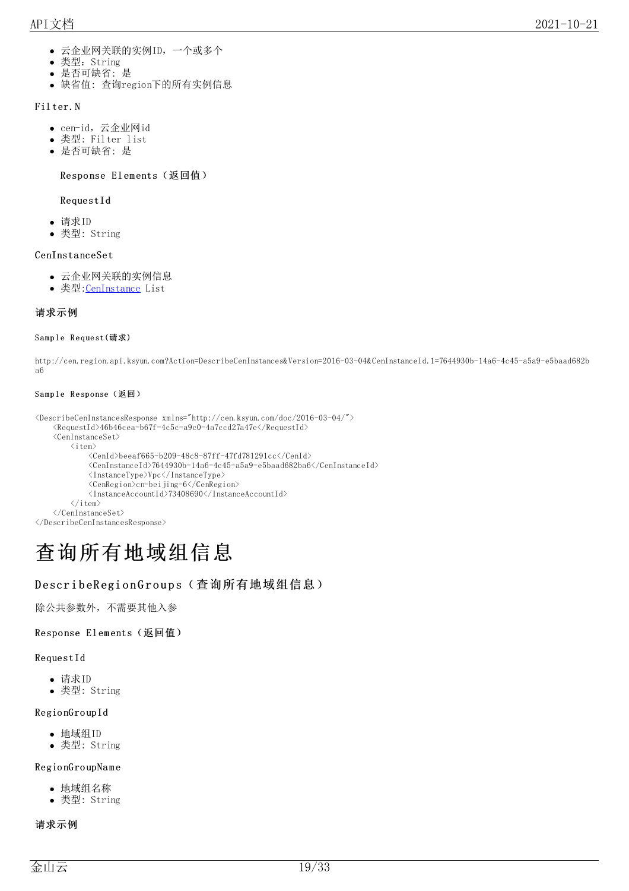- 云企业网关联的实例ID,一个或多个
- $\bullet$ 类型: String
- 是否可缺省: 是
- 缺省值: 查询region下的所有实例信息

#### Fil ter.N

- cen-id,云企业网id
- 类型: Filter list
- 是否可缺省: 是

#### <span id="page-18-0"></span>Response Elements (返回值)

#### RequestId

- 请求ID
- 类型: String

#### CenInsta nceSet

- 云企业网关联的实例信息
- 类型: CenInstance List

#### <span id="page-18-1"></span>请求示例

#### <span id="page-18-2"></span>Sample Request(请求)

http://cen.region.api.ksyun.com?Action=DescribeCenInstances&Version=2016-03-04&CenInstanceId.1=7644930b-14a6-4c45-a5a9-e5baad682b a6

#### <span id="page-18-3"></span>Sample Response(返回)

```
<\!\!{\rm DescribeCenInstancesResponse}\ \texttt{xmlns}\texttt{=}'' \texttt{http://cen.ksym.com/doc/2016-03-04/}''\texttt{>}<RequestId>46b46cea-b67f-4c5c-a9c0-4a7ccd27a47e</RequestId>
     \langleCenInstanceSet\rangle\langleitem\rangle\langle \text{CenId} \ranglebeeaf665-b209-48c8-87ff-47fd781291cc\langle \text{/CenId} \rangle<CenInstanceId>7644930b-14a6-4c45-a5a9-e5baad682ba6</CenInstanceId>
                <InstanceType>Vpc</InstanceType>
                <CenRegion>cn-beijing-6</CenRegion>
                <InstanceAccountId>73408690</InstanceAccountId>
           \langle/item>
     \langle/CenInstanceSet\rangle
```
</DescribeCenInstancesResponse>

# <span id="page-18-4"></span>查询所有地域组信息

### <span id="page-18-5"></span>DescribeRegionGroups(查询所有地域组信息)

除公共参数外,不需要其他入参

#### <span id="page-18-6"></span>Response Elements (返回值)

#### RequestId

- 请求ID
- 类型: String

#### Regio nGro upId

- 地域组ID
- 类型: String

#### Regio nGro upNa m e

- 地域组名称
- 类型: String

#### <span id="page-18-7"></span>请求示例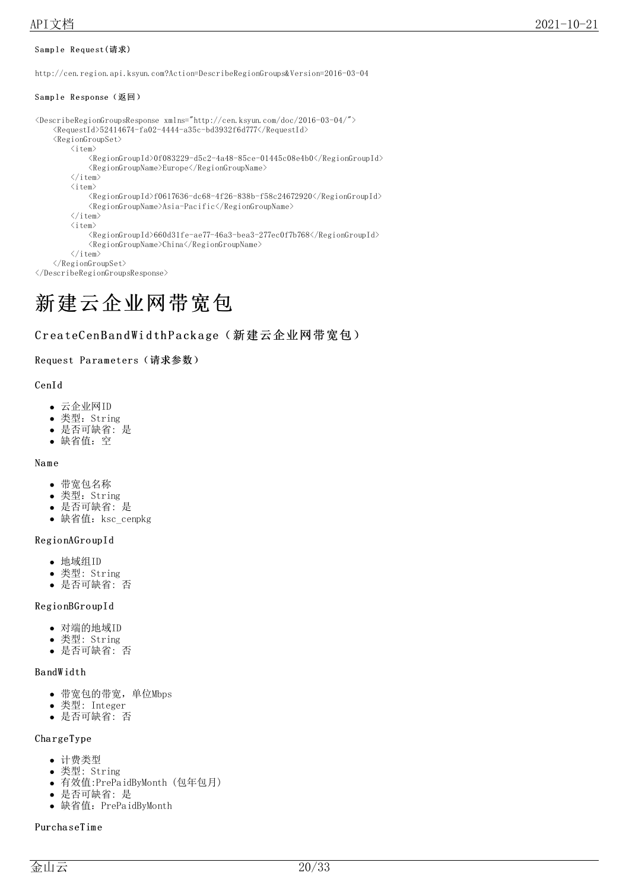#### <span id="page-19-0"></span>Sample Request(请求)

http://cen.region.api.ksyun.com?Action=DescribeRegionGroups&Version=2016-03-04

#### <span id="page-19-1"></span>Sample Response(返回)

```
<DescribeRegionGroupsResponse xmlns="http://cen.ksyun.com/doc/2016-03-04/">
      \langle Required \rangle52414674-fa02-4444-a35c-bd3932f6d777\langle /RequestId\rangle\langleRegionGroupSet\rangle\langleitem\rangle<\!\!RegionGroupId\!\!>\!\!0f083229\!-\!d5c2\!-\!4a48\!-\!85ce\!-\!01445c08e4b0\!\!\\/\!RegionGroupId\!\!>\langle RegionGroupName \rangle Europe \langle/RegionGroupName \rangle\langle/item>
           \langleitem\rangle\langleRegionGroupId\ranglef0617636-dc68-4f26-838b-f58c24672920\langle/RegionGroupId\rangle\langle RegionGroupName \rangle Asia-Pacific \langle/RegionGroupName \rangle\langle/item>
           \langleitem\rangle<RegionGroupId>660d31fe-ae77-46a3-bea3-277ec0f7b768</RegionGroupId>
                 \langle RegionGroupName \rangle China \langle/RegionGroupName \rangle\langle/item>
     \langle/RegionGroupSet>
</DescribeRegionGroupsResponse>
```
# <span id="page-19-2"></span>新建云企业网带宽包

### <span id="page-19-3"></span>CreateCenBandWidthPackage(新建云企业网带宽包)

#### <span id="page-19-4"></span>Request Parameters (请求参数)

#### CenId

- 云企业网ID
- 类型:String
- 是否可缺省: 是
- 缺省值:空

#### Na m e

- 带宽包名称
- 类型: String
- 是否可缺省: 是
- 缺省值: ksc\_cenpkg

#### Regio nAGro upId

- 地域组ID
- 类型: String
- 是否可缺省: 否

#### Regio nBGro upId

- 对端的地域ID
- 类型: String
- 是否可缺省: 否

#### Ba ndW idth

- 带宽包的带宽,单位Mbps
- 类型: Integer
- 是否可缺省: 否

#### Cha rgeType

- 计费类型
- 类型: String
- 有效值:PrePaidByMonth (包年包月)
- 是否可缺省: 是
- 缺省值:PrePaidByMonth

#### Purcha seTim e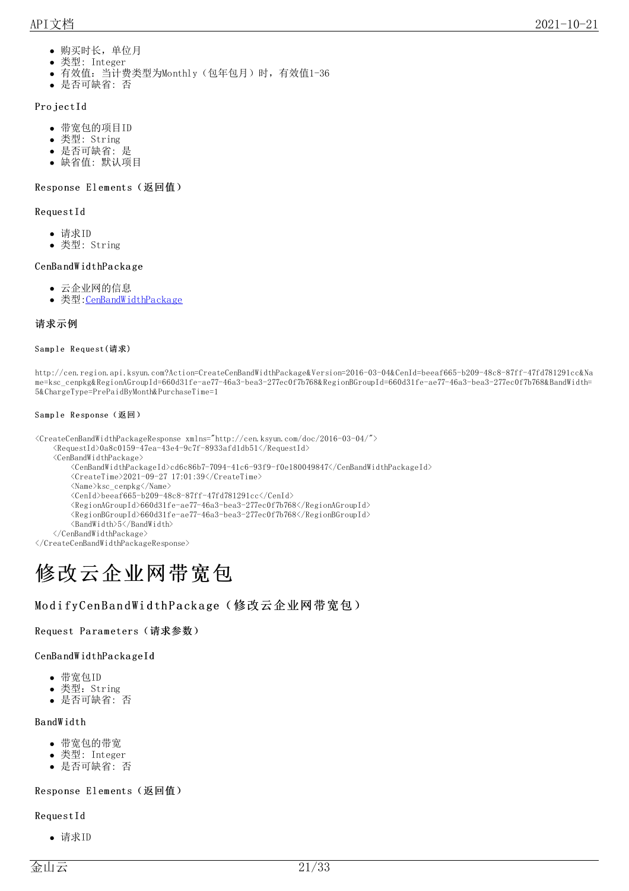- 购买时长,单位月
- 类型: Integer
- 有效值:当计费类型为Monthly(包年包月)时,有效值1-36
- 是否可缺省: 否

#### Pro jectId

- 带宽包的项目ID
- 类型: String
- 是否可缺省: 是
- 缺省值: 默认项目

#### <span id="page-20-0"></span>Response Elements (返回值)

#### RequestId

- 请求ID
- 类型: String

#### CenBa ndW idthPa cka ge

- 云企业网的信息
- 类型: CenBandWidthPackage

#### <span id="page-20-1"></span>请求示例

#### <span id="page-20-2"></span>Sample Request(请求)

http://cen.region.api.ksyun.com?Action=CreateCenBandWidthPackage&Version=2016-03-04&CenId=beeaf665-b209-48c8-87ff-47fd781291cc&Na me=ksc\_cenpkg&RegionAGroupId=660d31fe-ae77-46a3-bea3-277ec0f7b768&RegionBGroupId=660d31fe-ae77-46a3-bea3-277ec0f7b768&BandWidth= 5&ChargeType=PrePaidByMonth&PurchaseTime=1

#### <span id="page-20-3"></span>Sample Response(返回)

<CreateCenBandWidthPackageResponse xmlns="http://cen.ksyun.com/doc/2016-03-04/">

 $\langle Required \rangle 0a8c0159-47ea-43e4-9c7f-8933afd1db51\langle/RequestId\rangle$ 

<CenBandWidthPackage>

- $<\!\!CenBandWidth PackageId\!\!>cd6c86b7-7094-41c6-93f9-f0e180049847<\!\!/CenBandWidthPackageId\!\!>$
- $\langle$ CreateTime $\rangle$ 2021-09-27 17:01:39 $\langle$ /CreateTime $\rangle$

<Name>ksc\_cenpkg</Name>

 $\langle \text{CenId} \rangle$ beeaf665-b209-48c8-87ff-47fd781291cc $\langle \text{CenId} \rangle$ 

<RegionAGroupId>660d31fe-ae77-46a3-bea3-277ec0f7b768</RegionAGroupId>

<RegionBGroupId>660d31fe-ae77-46a3-bea3-277ec0f7b768</RegionBGroupId>

<BandWidth>5</BandWidth>

</CenBandWidthPackage>

</CreateCenBandWidthPackageResponse>

# <span id="page-20-4"></span>修改云企业网带宽包

### <span id="page-20-5"></span>ModifyCenBandWidthPackage(修改云企业网带宽包)

#### <span id="page-20-6"></span>Request Parameters (请求参数)

#### CenBa ndW idthPa cka geId

- 带宽包ID
- 类型: String
- 是否可缺省: 否

#### Ba ndW idth

- 带宽包的带宽
- 类型: Integer
- 是否可缺省: 否

#### <span id="page-20-7"></span>Response Elements (返回值)

#### RequestId

请求ID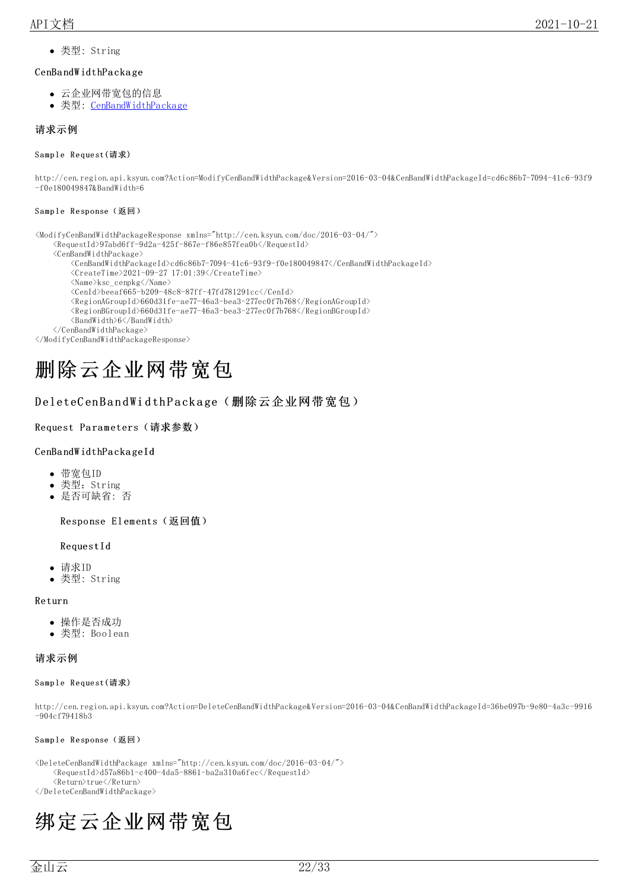类型: String

#### CenBa ndW idthPa cka ge

- 云企业网带宽包的信息
- 类型: [CenBandWidthPackage](https://docs.ksyun.com/documents/40389)

#### <span id="page-21-0"></span>请求示例

#### <span id="page-21-1"></span>Sample Request(请求)

http://cen.region.api.ksyun.com?Action=ModifyCenBandWidthPackage&Version=2016-03-04&CenBandWidthPackageId=cd6c86b7-7094-41c6-93f9 -f0e180049847&BandWidth=6

#### <span id="page-21-2"></span>Sample Response(返回)

<ModifyCenBandWidthPackageResponse xmlns="http://cen.ksyun.com/doc/2016-03-04/">

 $\langle Required\$ 97abd6ff-9d2a-425f-867e-f86e857fea0b $\langle RequestId \rangle$ 

<CenBandWidthPackage>

- <CenBandWidthPackageId>cd6c86b7-7094-41c6-93f9-f0e180049847</CenBandWidthPackageId>
- $\langle$ CreateTime>2021-09-27 17:01:39 $\langle$ /CreateTime>
- $\langle Name \rangle ksc\_cenpkg\langle /Name \rangle$
- $\langle \text{CenId}\rangle$ beeaf665-b209-48c8-87ff-47fd781291cc $\langle \text{CenId}\rangle$
- $\langle$ RegionAGroupId $\rangle$ 660d31fe-ae77-46a3-bea3-277ec0f7b768 $\langle$ /RegionAGroupId $\rangle$
- <RegionBGroupId>660d31fe-ae77-46a3-bea3-277ec0f7b768</RegionBGroupId>
- <BandWidth>6</BandWidth>

</CenBandWidthPackage>

</ModifyCenBandWidthPackageResponse>

# <span id="page-21-3"></span>删除云企业网带宽包

#### <span id="page-21-4"></span>DeleteCenBandWidthPackage(删除云企业网带宽包)

#### <span id="page-21-5"></span>Request Parameters (请求参数)

#### CenBa ndW idthPa cka geId

- 带宽包ID
- 类型:String
- 是否可缺省: 否

<span id="page-21-6"></span>Response Elements (返回值)

#### RequestId

- 请求ID
- 类型: String

#### Return

- 操作是否成功
- 类型: Boolean

#### <span id="page-21-7"></span>请求示例

#### <span id="page-21-8"></span>Sample Request(请求)

http://cen.region.api.ksyun.com?Action=DeleteCenBandWidthPackage&Version=2016-03-04&CenBandWidthPackageId=36be097b-9e80-4a3c-9916 -904cf79418b3

#### <span id="page-21-9"></span>Sample Response(返回)

<DeleteCenBandWidthPackage xmlns="http://cen.ksyun.com/doc/2016-03-04/">  $\langle$ RequestId>d57a86b1-c400-4da5-8861-ba2a310a6fec $\langle$ /RequestId> <Return>true</Return>

</DeleteCenBandWidthPackage>

# <span id="page-21-10"></span>绑定云企业网带宽包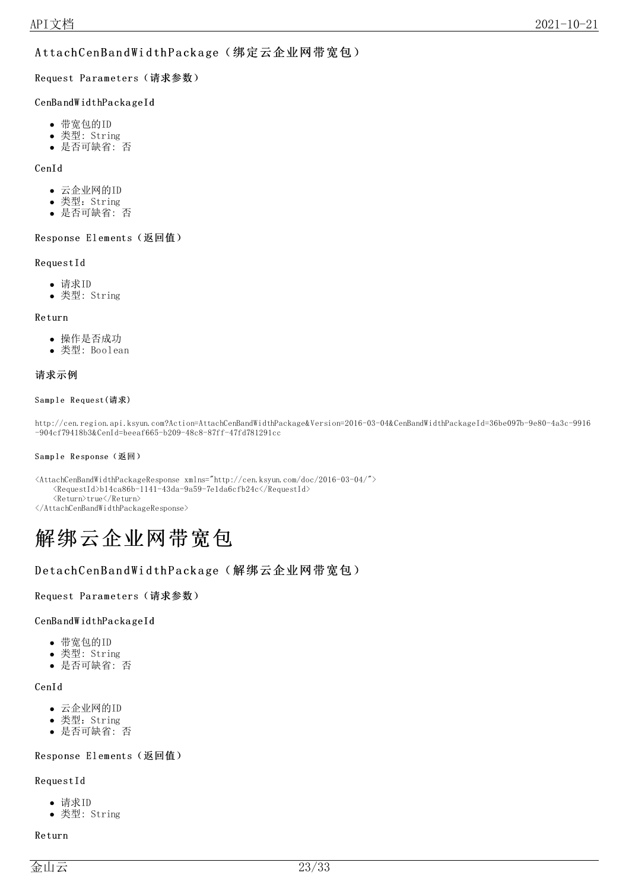### <span id="page-22-0"></span>AttachCenBandWidthPackage(绑定云企业网带宽包)

<span id="page-22-1"></span>Request Parameters (请求参数)

#### CenBa ndW idthPa cka geId

- 带宽包的ID
- 类型: String
- 是否可缺省: 否

#### CenId

- 云企业网的ID
- 类型:String
- 是否可缺省: 否

#### <span id="page-22-2"></span>Response Elements (返回值)

#### RequestId

- 请求ID
- 类型: String

#### Return

- 操作是否成功
- 类型: Boolean

#### <span id="page-22-3"></span>请求示例

#### <span id="page-22-4"></span>Sample Request(请求)

http://cen.region.api.ksyun.com?Action=AttachCenBandWidthPackage&Version=2016-03-04&CenBandWidthPackageId=36be097b-9e80-4a3c-9916 -904cf79418b3&CenId=beeaf665-b209-48c8-87ff-47fd781291cc

#### <span id="page-22-5"></span>Sample Response(返回)

 $\verb|40141| and \verb|W111| and \verb|W111| are the same as \verb|m111|, \verb|m111|, \verb|m111|, \verb|m111|, \verb|m111|, \verb|m111|, \verb|m111|, \verb|m111|, \verb|m111|, \verb|m111|, \verb|m111|, \verb|m111|, \verb|m111|, \verb|m111|, \verb|m111|, \verb|m111|, \verb|m111|, \verb|m111|, \verb|m111|, \verb|m111|, \verb|m111|,$  $\langle\text{RequestId}\rangle$ b14ca86b-1141-43da-9a59-7e1da6cfb24c $\langle\text{/RequestId}\rangle$ <Return>true</Return>

</AttachCenBandWidthPackageResponse>

# <span id="page-22-6"></span>解绑云企业网带宽包

### <span id="page-22-7"></span>DetachCenBandWidthPackage(解绑云企业网带宽包)

#### <span id="page-22-8"></span>Request Parameters (请求参数)

#### CenBa ndW idthPa cka geId

- 带宽包的ID
- 类型: String
- 是否可缺省: 否

#### CenId

- 云企业网的ID
- 类型: String
- 是否可缺省: 否

#### <span id="page-22-9"></span>Response Elements (返回值)

#### RequestId

- 请求ID
- 类型: String

#### Return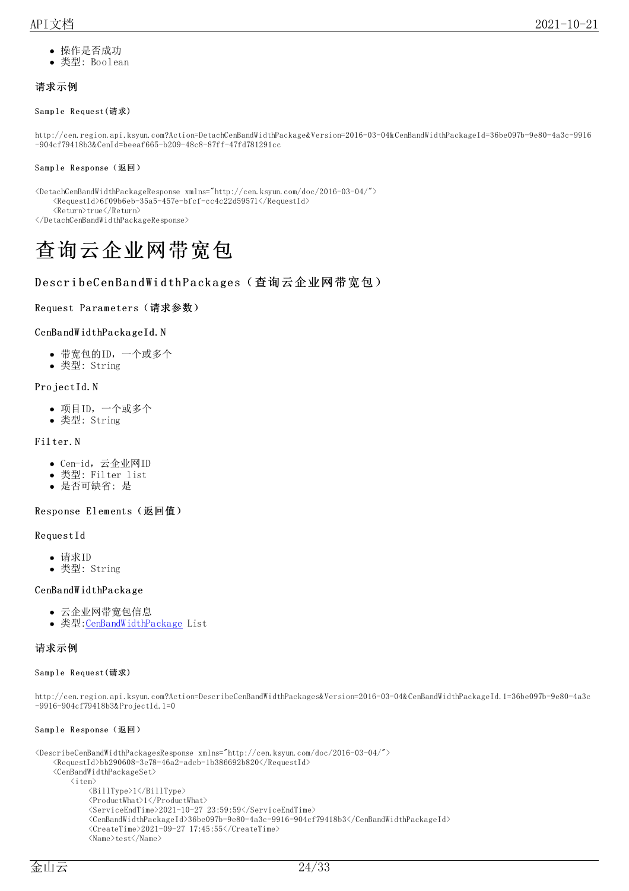- 操作是否成功
- 类型: Boolean

#### <span id="page-23-0"></span>请求示例

#### <span id="page-23-1"></span>Sample Request(请求)

http://cen.region.api.ksyun.com?Action=DetachCenBandWidthPackage&Version=2016-03-04&CenBandWidthPackageId=36be097b-9e80-4a3c-9916 -904cf79418b3&CenId=beeaf665-b209-48c8-87ff-47fd781291cc

#### <span id="page-23-2"></span>Sample Response(返回)

<DetachCenBandWidthPackageResponse xmlns="http://cen.ksyun.com/doc/2016-03-04/">  $<\!\!RequestId\!\!>\!\!6f09b6eb\!\!-\!\!35a5\!\!-\!\!457e\!\!-\!\!bf0fcfc\!\!-\!\!cc4c22d59571\!\!<\!\!/\!Requestld\!\!>$ <Return>true</Return> </DetachCenBandWidthPackageResponse>

# <span id="page-23-3"></span>查询云企业网带宽包

### <span id="page-23-4"></span>DescribeCenBandWidthPackages(查询云企业网带宽包)

#### <span id="page-23-5"></span>Request Parameters (请求参数)

#### CenBandWidthPackageId.N

- 带宽包的ID,一个或多个
- 类型: String

#### Pro jectId.N

- 项目ID,一个或多个
- 类型: String

#### Fil ter.N

- Cen-id, 云企业网ID
- 类型: Filter list
- 是否可缺省: 是

#### <span id="page-23-6"></span>Response Elements (返回值)

#### RequestId

- 请求ID
- 类型: String

#### CenBa ndW idthPa cka ge

- 云企业网带宽包信息
- 类型[:CenBandWidthPackage](https://docs.ksyun.com/documents/40389) List

#### <span id="page-23-7"></span>请求示例

#### <span id="page-23-8"></span>Sample Request(请求)

http://cen.region.api.ksyun.com?Action=DescribeCenBandWidthPackages&Version=2016-03-04&CenBandWidthPackageId.1=36be097b-9e80-4a3c -9916-904cf79418b3&ProjectId.1=0

#### <span id="page-23-9"></span>Sample Response(返回)

```
<DescribeCenBandWidthPackagesResponse xmlns="http://cen.ksyun.com/doc/2016-03-04/">
     \langleRequestId>bb290608-3e78-46a2-adcb-1b386692b820\langle/RequestId>
     <CenBandWidthPackageSet>
          \langleitem\rangle\langle \text{BillType}\rangle1\langle \text{/BillType}\rangle<ProductWhat>1</ProductWhat>
                \langleServiceEndTime\rangle2021-10-27 23:59:59\langle/ServiceEndTime\rangle<CenBandWidthPackageId>36be097b-9e80-4a3c-9916-904cf79418b3</CenBandWidthPackageId>
                \langleCreateTime>2021-09-27 17:45:55\langle/CreateTime>
                \langle Name \rangle \text{test} \langle / \text{Name} \rangle
```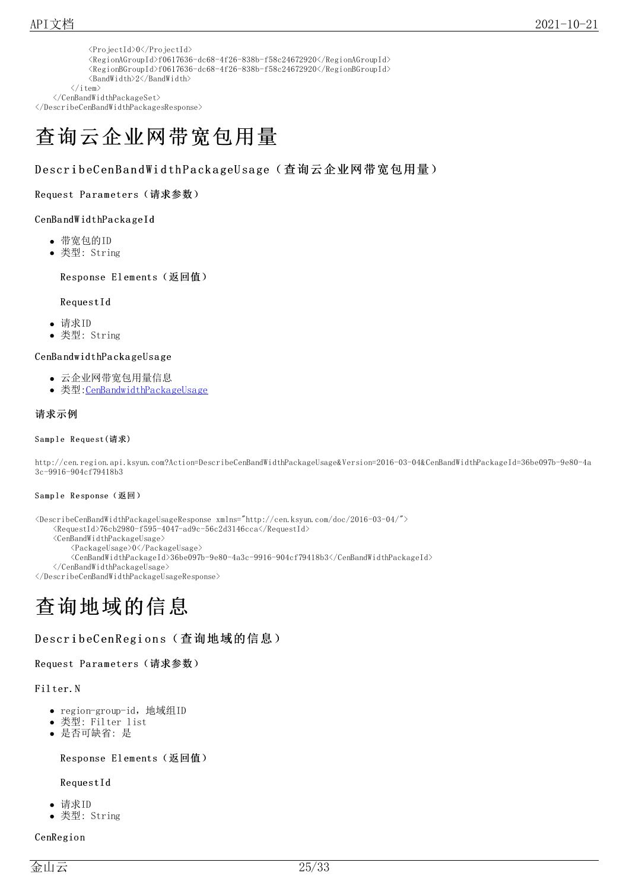| $\langle ProjectId \rangle 0 \langle /ProjectId \rangle$                                                    |
|-------------------------------------------------------------------------------------------------------------|
| $\langle$ RegionAGroupId $\rangle$ f0617636-dc68-4f26-838b-f58c24672920 $\langle$ /RegionAGroupId $\rangle$ |
| $\langle$ RegionBGroupId $\rangle$ f0617636-dc68-4f26-838b-f58c24672920 $\langle$ /RegionBGroupId $\rangle$ |
| <bandwidth>2</bandwidth>                                                                                    |
| $+$ $\rho$ m $>$                                                                                            |

 $\langle$ ite  $\langle$ /CenBandWidthPackageSet> </DescribeCenBandWidthPackagesResponse>

# <span id="page-24-0"></span>查询云企业网带宽包用量

### <span id="page-24-1"></span>DescribeCenBandWidthPackageUsage(查询云企业网带宽包用量)

#### <span id="page-24-2"></span>Request Parameters (请求参数)

#### CenBa ndW idthPa cka geId

- 带宽包的ID
- 类型: String

#### <span id="page-24-3"></span>Response Elements (返回值)

#### RequestId

- 请求ID
- 类型: String

#### CenBa ndwidthPa cka geUsa ge

- 云企业网带宽包用量信息
- 类型[:CenBandwidthPackageUsage](https://docs.ksyun.com/documents/40390)

#### <span id="page-24-4"></span>请求示例

#### <span id="page-24-5"></span>Sample Request(请求)

http://cen.region.api.ksyun.com?Action=DescribeCenBandWidthPackageUsage&Version=2016-03-04&CenBandWidthPackageId=36be097b-9e80-4a 3c-9916-904cf79418b3

#### <span id="page-24-6"></span>Sample Response(返回)

```
<DescribeCenBandWidthPackageUsageResponse xmlns="http://cen.ksyun.com/doc/2016-03-04/">
    \langleRequestId>76cb2980-f595-4047-ad9c-56c2d3146cca\langle/RequestId>
    <CenBandWidthPackageUsage>
        <PackageUsage>0</PackageUsage>
        <CenBandWidthPackageId>36be097b-9e80-4a3c-9916-904cf79418b3</CenBandWidthPackageId>
    </CenBandWidthPackageUsage>
</DescribeCenBandWidthPackageUsageResponse>
```
# <span id="page-24-7"></span>查询地域的信息

#### <span id="page-24-8"></span>DescribeCenRegions (查询地域的信息)

#### <span id="page-24-9"></span>Request Parameters (请求参数)

#### Fil ter.N

- region-group-id, 地域组ID
- 类型: Filter list
- 是否可缺省: 是

#### <span id="page-24-10"></span>Response Elements (返回值)

#### RequestId

- 请求ID
- 类型: String

#### **CenRegion**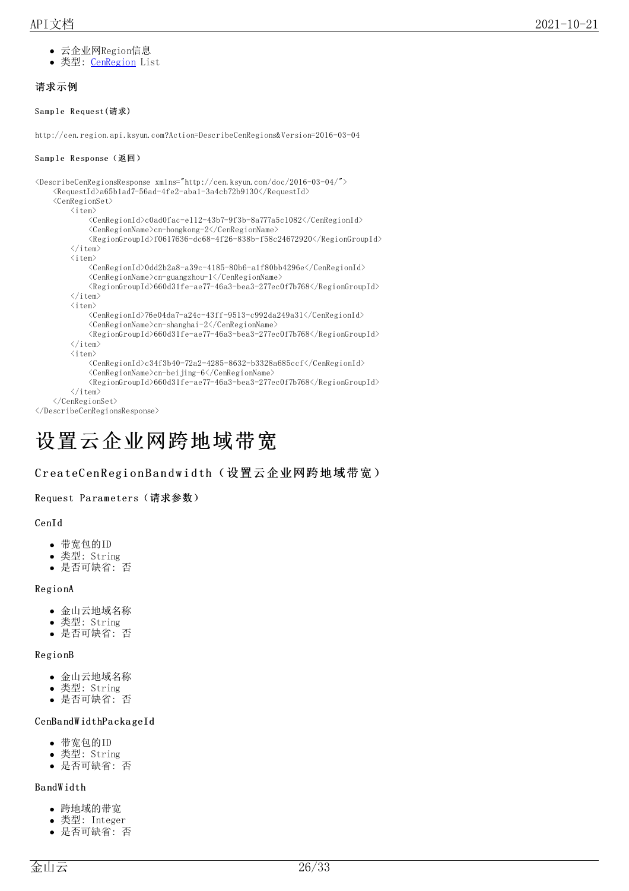- 云企业网Region信息
- 类型: [CenRegion](https://docs.ksyun.com/documents/40391) List

### <span id="page-25-0"></span>请求示例

<span id="page-25-1"></span>Sample Request(请求)

http://cen.region.api.ksyun.com?Action=DescribeCenRegions&Version=2016-03-04

#### <span id="page-25-2"></span>Sample Response(返回)

```
<DescribeCenRegionsResponse xmlns="http://cen.ksyun.com/doc/2016-03-04/">
    <RequestId>a65b1ad7-56ad-4fe2-aba1-3a4cb72b9130</RequestId>
    \langleCenRegionSet\rangle\langleitem\rangle<CenRegionId>c0ad0fac-e112-43b7-9f3b-8a777a5c1082</CenRegionId>
              <CenRegionName>cn-hongkong-2</CenRegionName>
              \langleRegionGroupId>f0617636-dc68-4f26-838b-f58c24672920\langle/RegionGroupId>
         \langle/item>
         \langleitem\rangle<CenRegionId>0dd2b2a8-a39c-4185-80b6-a1f80bb4296e</CenRegionId>
              <CenRegionName>cn-guangzhou-1</CenRegionName>
              \langle RegionGroupId\rangle 660d31fe-ae77-46a3-bea3-277ec0f7b768\langle/RegionGroupId\rangle\langle/item>
         \langleitem\rangle<CenRegionId>76e04da7-a24c-43ff-9513-c992da249a31</CenRegionId>
              <CenRegionName>cn-shanghai-2</CenRegionName>
              <RegionGroupId>660d31fe-ae77-46a3-bea3-277ec0f7b768</RegionGroupId>
         \langle/item>
         \langleitem\rangle\langleCenRegionId\ranglec34f3b40-72a2-4285-8632-b3328a685ccf\langle/CenRegionId\rangle<CenRegionName>cn-beijing-6</CenRegionName>
              <RegionGroupId>660d31fe-ae77-46a3-bea3-277ec0f7b768</RegionGroupId>
         \langle/item>
    </CenRegionSet>
</DescribeCenRegionsResponse>
```
# <span id="page-25-3"></span>设置云企业网跨地域带宽

### <span id="page-25-4"></span>CreateCenRegionBandwidth(设置云企业网跨地域带宽)

#### <span id="page-25-5"></span>Request Parameters (请求参数)

#### CenId

- 带宽包的ID
- 类型: String
- 是否可缺省: 否

#### Regio nA

- 金山云地域名称
- 类型: String
- 是否可缺省: 否

#### Regio nB

- 金山云地域名称
- 类型: String  $\bullet$
- 是否可缺省: 否

#### CenBa ndW idthPa cka geId

- 带宽包的ID
- 类型: String
- 是否可缺省: 否

#### Ba ndW idth

- 跨地域的带宽
- 类型: Integer
- 是否可缺省: 否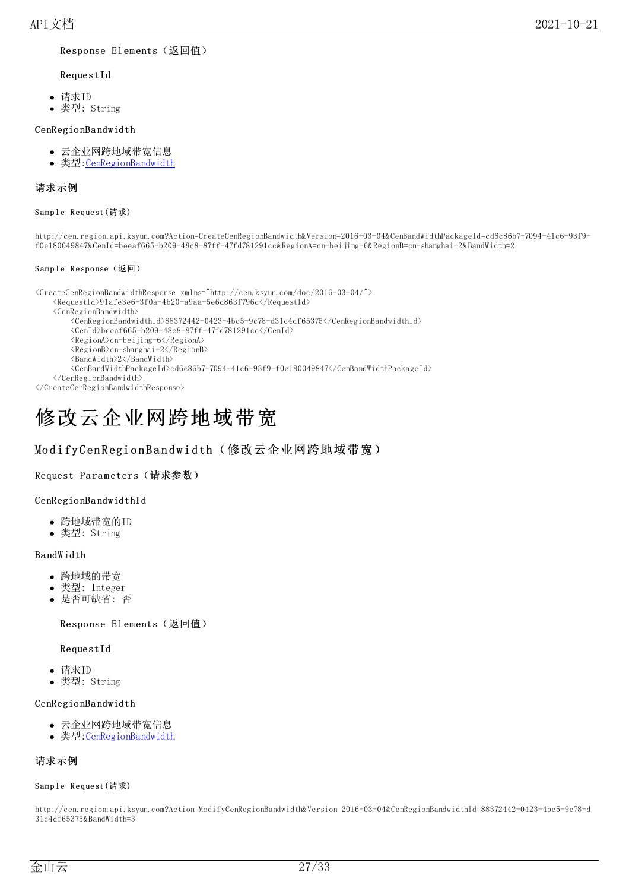#### <span id="page-26-0"></span>Response Elements (返回值)

#### RequestId

- 请求ID
- 类型: String

#### CenRegio nBa ndwidth

- 云企业网跨地域带宽信息
- 类型: CenRegionBandwidth

#### <span id="page-26-1"></span>请求示例

#### <span id="page-26-2"></span>Sample Request(请求)

http://cen.region.api.ksyun.com?Action=CreateCenRegionBandwidth&Version=2016-03-04&CenBandWidthPackageId=cd6c86b7-7094-41c6-93f9 f0e180049847&CenId=beeaf665-b209-48c8-87ff-47fd781291cc&RegionA=cn-beijing-6&RegionB=cn-shanghai-2&BandWidth=2

#### <span id="page-26-3"></span>Sample Response(返回)

<CreateCenRegionBandwidthResponse xmlns="http://cen.ksyun.com/doc/2016-03-04/"> <RequestId>91afe3e6-3f0a-4b20-a9aa-5e6d863f796c</RequestId> <CenRegionBandwidth> <CenRegionBandwidthId>88372442-0423-4bc5-9c78-d31c4df65375</CenRegionBandwidthId> <CenId>beeaf665-b209-48c8-87ff-47fd781291cc</CenId> <RegionA>cn-beijing-6</RegionA> <RegionB>cn-shanghai-2</RegionB> <BandWidth>2</BandWidth> <CenBandWidthPackageId>cd6c86b7-7094-41c6-93f9-f0e180049847</CenBandWidthPackageId> </CenRegionBandwidth> </CreateCenRegionBandwidthResponse>

# <span id="page-26-4"></span>修改云企业网跨地域带宽

### <span id="page-26-5"></span>ModifyCenRegionBandwidth(修改云企业网跨地域带宽)

#### <span id="page-26-6"></span>Request Parameters (请求参数)

#### CenRegio nBa ndwidthId

- 跨地域带宽的ID
- 类型: String

#### Ba ndW idth

- 跨地域的带宽
- 类型: Integer
- 是否可缺省: 否

#### <span id="page-26-7"></span>Response Elements (返回值)

#### RequestId

- 请求ID
- 类型: String

#### CenRegio nBa ndwidth

- 云企业网跨地域带宽信息
- 类型[:CenRegionBandwidth](https://docs.ksyun.com/documents/40392)

### <span id="page-26-8"></span>请求示例

#### <span id="page-26-9"></span>Sample Request(请求)

http://cen.region.api.ksyun.com?Action=ModifyCenRegionBandwidth&Version=2016-03-04&CenRegionBandwidthId=88372442-0423-4bc5-9c78-d 31c4df65375&BandWidth=3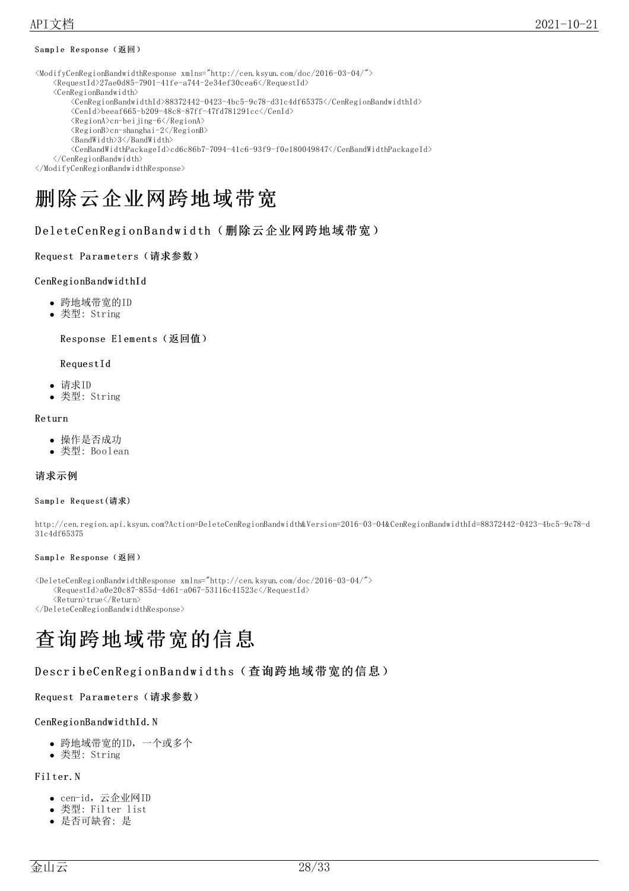#### <span id="page-27-0"></span>Sample Response(返回)

<ModifyCenRegionBandwidthResponse xmlns="http://cen.ksyun.com/doc/2016-03-04/">

- $\langle Required \rangle$ 27ae0d85-7901-41fe-a744-2e34ef30cea6 $\langle$ RequestId $\rangle$
- <CenRegionBandwidth>
	- <CenRegionBandwidthId>88372442-0423-4bc5-9c78-d31c4df65375</CenRegionBandwidthId>
		- $\langle \text{CenId} \rangle$ beeaf665-b209-48c8-87ff-47fd781291cc $\langle \text{CenId} \rangle$
		- <RegionA>cn-beijing-6</RegionA>
		- <RegionB>cn-shanghai-2</RegionB>
		- <BandWidth>3</BandWidth>
	- <CenBandWidthPackageId>cd6c86b7-7094-41c6-93f9-f0e180049847</CenBandWidthPackageId>

</CenRegionBandwidth> </ModifyCenRegionBandwidthResponse>

# <span id="page-27-1"></span>删除云企业网跨地域带宽

<span id="page-27-2"></span>DeleteCenRegionBandwidth(删除云企业网跨地域带宽)

#### <span id="page-27-3"></span>Request Parameters (请求参数)

#### CenRegio nBa ndwidthId

- 跨地域带宽的ID
- 类型: String

<span id="page-27-4"></span>Response Elements (返回值)

#### RequestId

- 请求ID
- 类型: String

#### Return

- 操作是否成功
- 类型: Boolean

#### <span id="page-27-5"></span>请求示例

#### <span id="page-27-6"></span>Sample Request(请求)

http://cen.region.api.ksyun.com?Action=DeleteCenRegionBandwidth&Version=2016-03-04&CenRegionBandwidthId=88372442-0423-4bc5-9c78-d 31c4df65375

#### <span id="page-27-7"></span>Sample Response(返回)

```
<DeleteCenRegionBandwidthResponse xmlns="http://cen.ksyun.com/doc/2016-03-04/">
    \langle Required \rangle_00e20c87-855d-4d61-a067-53116c41523c\langle/RequestId\rangle<Return>true</Return>
</DeleteCenRegionBandwidthResponse>
```
# <span id="page-27-8"></span>查询跨地域带宽的信息

### <span id="page-27-9"></span>DescribeCenRegionBandwidths (查询跨地域带宽的信息)

### <span id="page-27-10"></span>Request Parameters (请求参数)

#### CenRegionBandwidthId.N

- 跨地域带宽的ID,一个或多个
- 类型: String

#### Fil ter.N

- cen-id,云企业网ID
- 类型: Filter list
- 是否可缺省: 是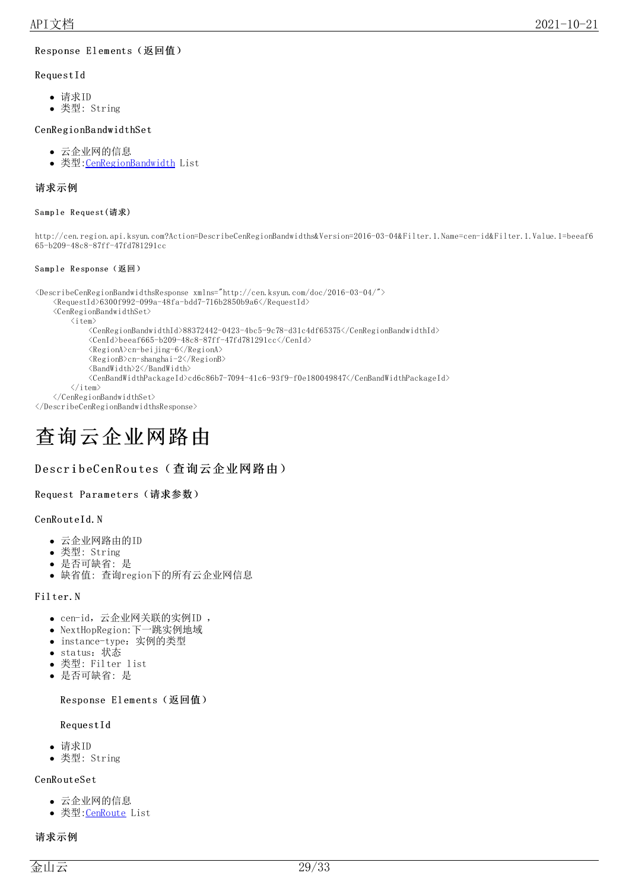#### <span id="page-28-0"></span>Response Elements (返回值)

#### RequestId

- 请求ID
- 类型: String

#### CenRegio nBa ndwidthSet

- 云企业网的信息
- 类型: CenRegionBandwidth List

#### <span id="page-28-1"></span>请求示例

#### <span id="page-28-2"></span>Sample Request(请求)

http://cen.region.api.ksyun.com?Action=DescribeCenRegionBandwidths&Version=2016-03-04&Filter.1.Name=cen-id&Filter.1.Value.1=beeaf6 65-b209-48c8-87ff-47fd781291cc

#### <span id="page-28-3"></span>Sample Response(返回)

```
<DescribeCenRegionBandwidthsResponse xmlns="http://cen.ksyun.com/doc/2016-03-04/">
    \langle Required \rangle_{6300f992-099a-48fa-bdd7-716b2850b9a6}\rangle<CenRegionBandwidthSet>
         \langleitem\rangle<CenRegionBandwidthId>88372442-0423-4bc5-9c78-d31c4df65375</CenRegionBandwidthId>
             <CenId>beeaf665-b209-48c8-87ff-47fd781291cc</CenId>
             <RegionA>cn-beijing-6</RegionA>
             <RegionB>cn-shanghai-2</RegionB>
             \langleBandWidth\rangle2\langle/BandWidth\rangle<CenBandWidthPackageId>cd6c86b7-7094-41c6-93f9-f0e180049847</CenBandWidthPackageId>
         \langle/item\rangle</CenRegionBandwidthSet>
```
</DescribeCenRegionBandwidthsResponse>

# <span id="page-28-4"></span>查询云企业网路由

#### <span id="page-28-5"></span>DescribeCenRoutes(查询云企业网路由)

#### <span id="page-28-6"></span>Request Parameters (请求参数)

#### CenRouteId.N

- 云企业网路由的ID
- 类型: String
- 是否可缺省: 是
- 缺省值: 查询region下的所有云企业网信息

#### Fil ter.N

- cen-id,云企业网关联的实例ID ,
- NextHopRegion:下一跳实例地域
- instance-type:实例的类型
- status:状态  $\bullet$
- 类型: Filter list
- 是否可缺省: 是

#### <span id="page-28-7"></span>Response Elements (返回值)

#### RequestId

- 请求ID
- 类型: String

#### CenRo uteSet

- 云企业网的信息
- 类型:<u>CenRoute</u> List

#### <span id="page-28-8"></span>请求示例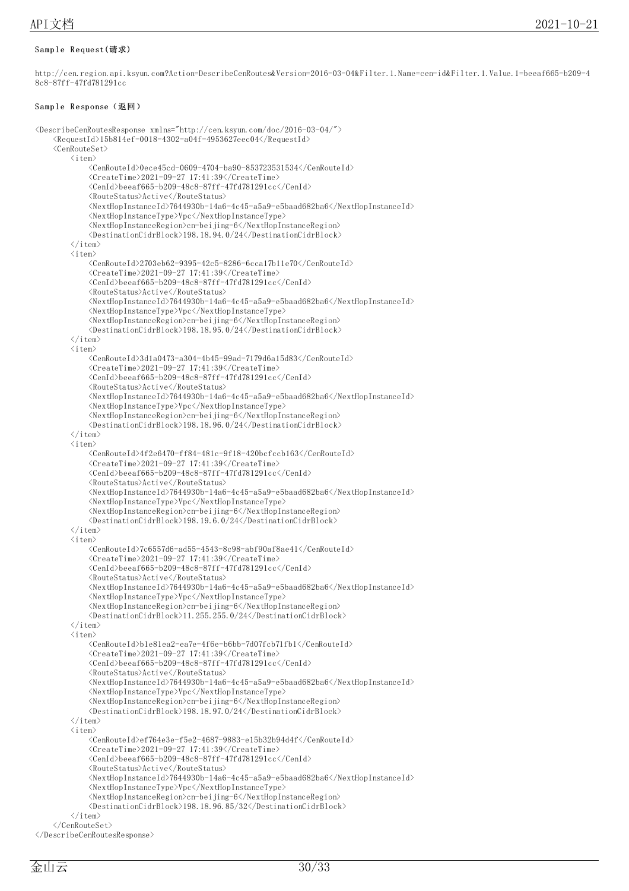#### <span id="page-29-0"></span>Sample Request(请求)

http://cen.region.api.ksyun.com?Action=DescribeCenRoutes&Version=2016-03-04&Filter.1.Name=cen-id&Filter.1.Value.1=beeaf665-b209-4 8c8-87ff-47fd781291cc

#### <span id="page-29-1"></span>Sample Response(返回)

<DescribeCenRoutesResponse xmlns="http://cen.ksyun.com/doc/2016-03-04/">  $\langle$ RequestId>15b814ef-0018-4302-a04f-4953627eec04 $\langle$ /RequestId> <CenRouteSet>  $\langle$ item $\rangle$  $<\!\!Cen RouteId\!\!>\!\!0ece45cd\!\!-\!\!0609\!\!-\!\!4704\!\!-\!\!ba90\!\!-\!\!853723531534\!\!<\!\!/{Cen RouteId}\!\!>$  $\langle$ CreateTime>2021-09-27 17:41:39 $\langle$ /CreateTime>  $\langle \text{CenId} \rangle$ beeaf665-b209-48c8-87ff-47fd781291cc $\langle \text{CenId} \rangle$ <RouteStatus>Active</RouteStatus> <NextHopInstanceId>7644930b-14a6-4c45-a5a9-e5baad682ba6</NextHopInstanceId> <NextHopInstanceType>Vpc</NextHopInstanceType> <NextHopInstanceRegion>cn-beijing-6</NextHopInstanceRegion> <DestinationCidrBlock>198.18.94.0/24</DestinationCidrBlock>  $\langle$ /item $\rangle$  $\langle$ item $\rangle$  $\langle$ CenRouteId>2703eb62-9395-42c5-8286-6cca17b11e70 $\langle$ /CenRouteId>  $\langle$ CreateTime>2021-09-27 17:41:39 $\langle$ /CreateTime>  $\langle \text{CenId}\rangle$ beeaf665-b209-48c8-87ff-47fd781291cc $\langle \text{/CenId}\rangle$ <RouteStatus>Active</RouteStatus>  $\langle$ NextHopInstanceId>7644930b-14a6-4c45-a5a9-e5baad682ba6 $\langle$ /NextHopInstanceId> <NextHopInstanceType>Vpc</NextHopInstanceType> <NextHopInstanceRegion>cn-beijing-6</NextHopInstanceRegion> <DestinationCidrBlock>198.18.95.0/24</DestinationCidrBlock>  $\langle$ /item $\rangle$  $\langle$ item $\rangle$ <CenRouteId>3d1a0473-a304-4b45-99ad-7179d6a15d83</CenRouteId>  $\langle$ CreateTime>2021-09-27 17:41:39 $\langle$ /CreateTime>  $\langle \text{CenId} \rangle$ beeaf665-b209-48c8-87ff-47fd781291cc $\langle \text{/CenId} \rangle$  $\langle\text{RouteS} \text{tatus}\rangle$ Active $\langle\text{/RouteS} \text{tatus}\rangle$  $<\!\!{\rm NextHopInstanceId}\!\!>7644930b\!-\!14a6\!-\!4c45\!-\!a5a9\!-\!e5baad682ba6\!\le\!\!/{\rm NextHopInstanceId}\!\!>$  $\langle$ NextHopInstanceType $\rangle$ Vpc $\langle$ /NextHopInstanceType $\rangle$ <NextHopInstanceRegion>cn-beijing-6</NextHopInstanceRegion> <DestinationCidrBlock>198.18.96.0/24</DestinationCidrBlock>  $\langle$ /item>  $\langle$ item $\rangle$  $<\!\!Cen RouteId\!\!>\!\!4f2e6470\!-\!ff84\!-\!481c\!-\!9f18\!-\!420bcfccb163<\!\!/Cen RouteId\!\!>$ <CreateTime>2021-09-27 17:41:39</CreateTime>  $\langle \text{CenI d}\rangle$ beeaf665-b209-48c8-87ff-47fd781291cc $\langle \text{/CenI d}\rangle$ <RouteStatus>Active</RouteStatus>  $<\!\!{\rm NextHopInstanceId}\!\!>7644930b\!-\!14a6\!-\!4c45\!-\!a5a9\!-\!e5baad682ba6\!\le\!\!/{\rm NextHopInstanceId}\!\!>$ <NextHopInstanceType>Vpc</NextHopInstanceType> <NextHopInstanceRegion>cn-beijing-6</NextHopInstanceRegion> <DestinationCidrBlock>198.19.6.0/24</DestinationCidrBlock>  $\langle$ /item $\rangle$  $\langle$ item $\rangle$ <CenRouteId>7c6557d6-ad55-4543-8c98-abf90af8ae41</CenRouteId>  $\langle$ CreateTime>2021-09-27 17:41:39 $\langle$ /CreateTime>  $\langle \text{CenId} \rangle$ beeaf665-b209-48c8-87ff-47fd781291cc $\langle \text{/CenId} \rangle$ <RouteStatus>Active</RouteStatus> <NextHopInstanceId>7644930b-14a6-4c45-a5a9-e5baad682ba6</NextHopInstanceId> <NextHopInstanceType>Vpc</NextHopInstanceType> <NextHopInstanceRegion>cn-beijing-6</NextHopInstanceRegion> <DestinationCidrBlock>11.255.255.0/24</DestinationCidrBlock>  $\langle$ /item>  $\langle$ item $\rangle$ <CenRouteId>b1e81ea2-ea7e-4f6e-b6bb-7d07fcb71fb1</CenRouteId>  $\langle$ CreateTime>2021-09-27 17:41:39 $\langle$ /CreateTime> <CenId>beeaf665-b209-48c8-87ff-47fd781291cc</CenId> <RouteStatus>Active</RouteStatus> <NextHopInstanceId>7644930b-14a6-4c45-a5a9-e5baad682ba6</NextHopInstanceId> <NextHopInstanceType>Vpc</NextHopInstanceType> <NextHopInstanceRegion>cn-beijing-6</NextHopInstanceRegion> <DestinationCidrBlock>198.18.97.0/24</DestinationCidrBlock>  $\langle$ /item $\rangle$  $\langle$ item $\rangle$ <CenRouteId>ef764e3e-f5e2-4687-9883-e15b32b94d4f</CenRouteId>  $\langle$ CreateTime $\rangle$ 2021-09-27 17:41:39 $\langle$ /CreateTime $\rangle$  $\langle \text{CenId}\rangle$ beeaf665-b209-48c8-87ff-47fd781291cc $\langle \text{/CenId}\rangle$ <RouteStatus>Active</RouteStatus> <NextHopInstanceId>7644930b-14a6-4c45-a5a9-e5baad682ba6</NextHopInstanceId> <NextHopInstanceType>Vpc</NextHopInstanceType> <NextHopInstanceRegion>cn-beijing-6</NextHopInstanceRegion> <DestinationCidrBlock>198.18.96.85/32</DestinationCidrBlock>  $\langle$ /item> </CenRouteSet> </DescribeCenRoutesResponse>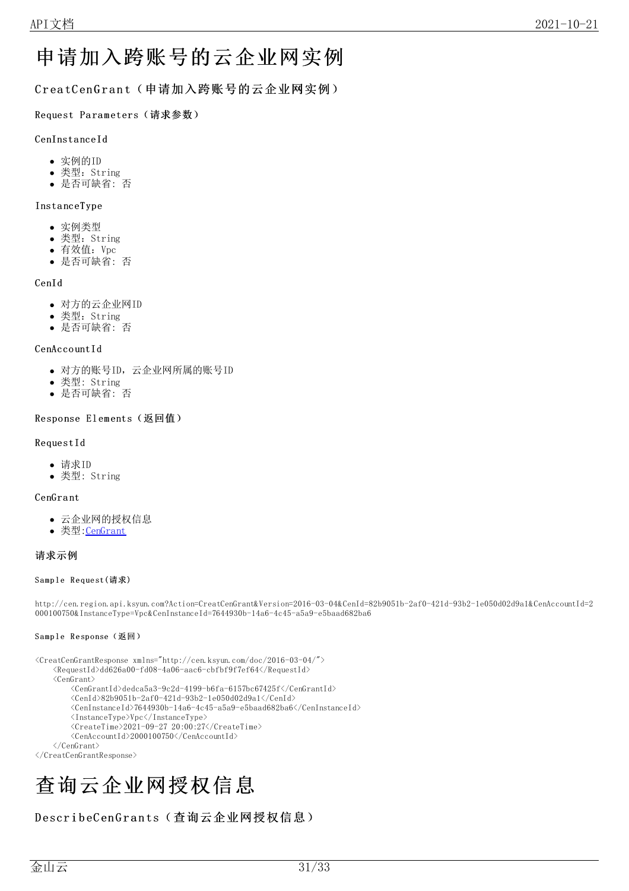# <span id="page-30-0"></span>申请加入跨账号的云企业网实例

<span id="page-30-1"></span>CreatCenGrant(申请加入跨账号的云企业网实例)

<span id="page-30-2"></span>Request Parameters (请求参数)

#### CenInsta nceId

- 实例的ID
- 类型: String
- 是否可缺省: 否

#### Insta nceType

- 实例类型
- 类型:String
- 有效值:Vpc
- 是否可缺省: 否

#### CenId

- 对方的云企业网ID
- 类型: String
- 是否可缺省: 否

#### CenAccountId

- 对方的账号ID,云企业网所属的账号ID
- 类型: String
- 是否可缺省: 否  $\bullet$

#### <span id="page-30-3"></span>Response Elements (返回值)

#### RequestId

- 请求ID
- 类型: String

#### CenGra nt

- 云企业网的授权信息
- 类型[:CenGrant](https://docs.ksyun.com/documents/40393)

#### <span id="page-30-4"></span>请求示例

#### <span id="page-30-5"></span>Sample Request(请求)

http://cen.region.api.ksyun.com?Action=CreatCenGrant&Version=2016-03-04&CenId=82b9051b-2af0-421d-93b2-1e050d02d9a1&CenAccountId=2 000100750&InstanceType=Vpc&CenInstanceId=7644930b-14a6-4c45-a5a9-e5baad682ba6

#### <span id="page-30-6"></span>Sample Response(返回)

```
<\!\!{\rm CreateGenGrantResponse}\xspace\ {\rm xmlns="http://cen.ksym.com/doc/2016-03-04/">}<RequestId>dd626a00-fd08-4a06-aac6-cbfbf9f7ef64</RequestId>
    <CenGrant>
         \langle CenGrantId\rangle{}dedca5a3-9c2d-4199-b6fa-6157bc67425f\langle/CenGrantId\rangle{}<CenId>82b9051b-2af0-421d-93b2-1e050d02d9a1</CenId>
         <CenInstanceId>7644930b-14a6-4c45-a5a9-e5baad682ba6</CenInstanceId>
         <InstanceType>Vpc</InstanceType>
         \langleCreateTime>2021-09-27 20:00:27\langle/CreateTime>
         <CenAccountId>2000100750</CenAccountId>
    </CenGrant>
</CreatCenGrantResponse>
```
# <span id="page-30-7"></span>查询云企业网授权信息

### <span id="page-30-8"></span>DescribeCenGrants(查询云企业网授权信息)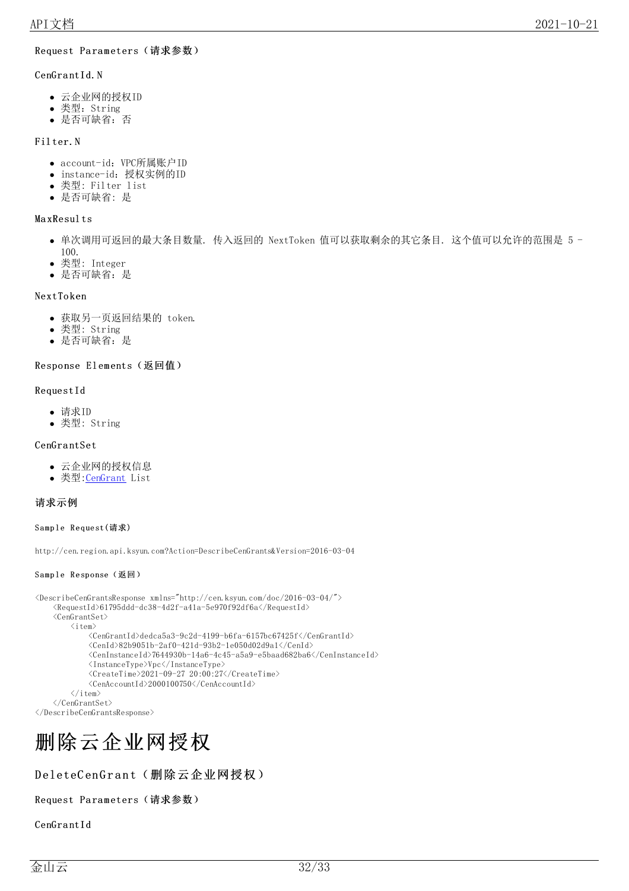#### <span id="page-31-0"></span>Request Parameters (请求参数)

#### CenGrantId.N

- 云企业网的授权ID
- 类型: String
- 是否可缺省:否

#### Fil ter.N

- account-id: VPC所属账户ID
- instance-id:授权实例的ID
- 类型: Filter list
- 是否可缺省: 是

#### Ma xResul ts

- 单次调用可返回的最大条目数量. 传入返回的 NextToken 值可以获取剩余的其它条目. 这个值可以允许的范围是 5 100.
- 类型: Integer
- 是否可缺省:是

#### NextTo ken

- 获取另一页返回结果的 token.
- 类型: String
- 是否可缺省:是

#### <span id="page-31-1"></span>Response Elements (返回值)

#### RequestId

- 请求ID
- 类型: String

#### CenGra ntSet

- 云企业网的授权信息
- 类型: CenGrant List

#### <span id="page-31-2"></span>请求示例

#### <span id="page-31-3"></span>Sample Request(请求)

http://cen.region.api.ksyun.com?Action=DescribeCenGrants&Version=2016-03-04

#### <span id="page-31-4"></span>Sample Response(返回)

```
<DescribeCenGrantsResponse xmlns="http://cen.ksyun.com/doc/2016-03-04/">
     \langleRequestId>61795ddd-dc38-4d2f-a41a-5e970f92df6a\langle/RequestId>
     <CenGrantSet>
          \langleitem\rangle<CenGrantId>dedca5a3-9c2d-4199-b6fa-6157bc67425f</CenGrantId>
                \langle \text{CenId}\rangle82b9051b-2af0-421d-93b2-1e050d02d9a1\langle \text{CenId}\rangle\langle \text{CenInstanceId}\rangle7644930b-14a6-4c45-a5a9-e5baad682ba6\langle \text{CenInstanceId}\rangle\langleInstanceType\rangleVpc\langle/InstanceType\rangle\langleCreateTime>2021-09-27 20:00:27\langle/CreateTime>
                <CenAccountId>2000100750</CenAccountId>
          \langle/item\rangle</CenGrantSet>
```

```
</DescribeCenGrantsResponse>
```
# <span id="page-31-5"></span>删除云企业网授权

### <span id="page-31-6"></span>DeleteCenGrant(删除云企业网授权)

#### <span id="page-31-7"></span>Request Parameters (请求参数)

CenGrantId